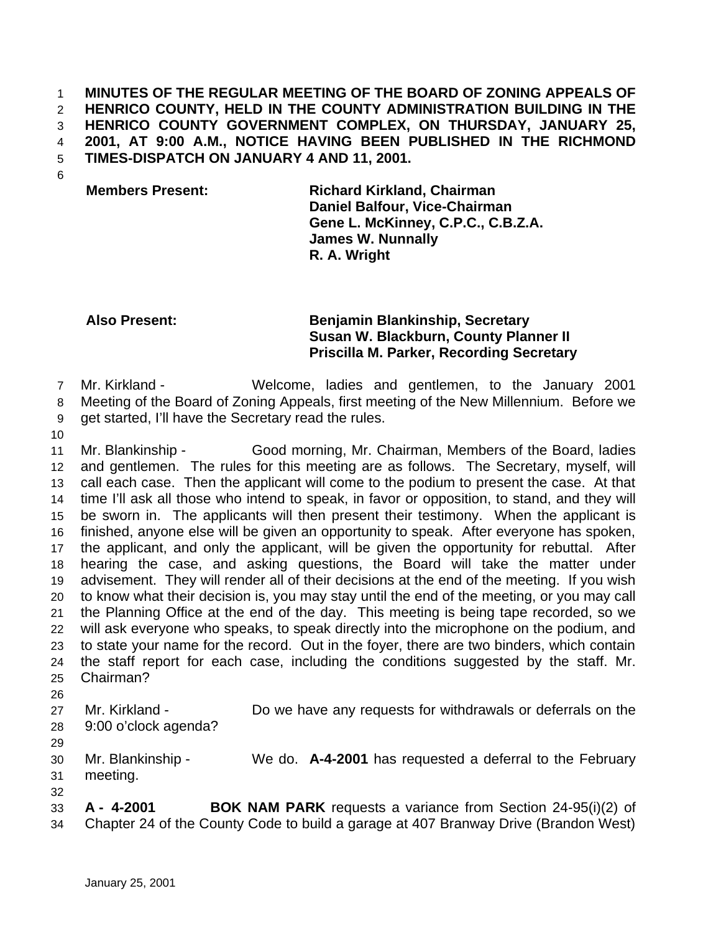## **MINUTES OF THE REGULAR MEETING OF THE BOARD OF ZONING APPEALS OF HENRICO COUNTY, HELD IN THE COUNTY ADMINISTRATION BUILDING IN THE HENRICO COUNTY GOVERNMENT COMPLEX, ON THURSDAY, JANUARY 25, 2001, AT 9:00 A.M., NOTICE HAVING BEEN PUBLISHED IN THE RICHMOND TIMES-DISPATCH ON JANUARY 4 AND 11, 2001.**

**Members Present: Richard Kirkland, Chairman Daniel Balfour, Vice-Chairman Gene L. McKinney, C.P.C., C.B.Z.A. James W. Nunnally R. A. Wright**

## **Also Present: Benjamin Blankinship, Secretary Susan W. Blackburn, County Planner II Priscilla M. Parker, Recording Secretary**

Mr. Kirkland - Welcome, ladies and gentlemen, to the January 2001

Meeting of the Board of Zoning Appeals, first meeting of the New Millennium. Before we

- get started, I'll have the Secretary read the rules.
- 

 Mr. Blankinship - Good morning, Mr. Chairman, Members of the Board, ladies and gentlemen. The rules for this meeting are as follows. The Secretary, myself, will call each case. Then the applicant will come to the podium to present the case. At that time I'll ask all those who intend to speak, in favor or opposition, to stand, and they will be sworn in. The applicants will then present their testimony. When the applicant is finished, anyone else will be given an opportunity to speak. After everyone has spoken, the applicant, and only the applicant, will be given the opportunity for rebuttal. After hearing the case, and asking questions, the Board will take the matter under advisement. They will render all of their decisions at the end of the meeting. If you wish to know what their decision is, you may stay until the end of the meeting, or you may call the Planning Office at the end of the day. This meeting is being tape recorded, so we will ask everyone who speaks, to speak directly into the microphone on the podium, and to state your name for the record. Out in the foyer, there are two binders, which contain the staff report for each case, including the conditions suggested by the staff. Mr. Chairman? 

Mr. Kirkland - Do we have any requests for withdrawals or deferrals on the

- 9:00 o'clock agenda?
- 

|    | 30 Mr. Blankinship - | We do. A-4-2001 has requested a deferral to the February |
|----|----------------------|----------------------------------------------------------|
|    | 31 meeting.          |                                                          |
| 32 |                      |                                                          |

 **A - 4-2001 BOK NAM PARK** requests a variance from Section 24-95(i)(2) of Chapter 24 of the County Code to build a garage at 407 Branway Drive (Brandon West)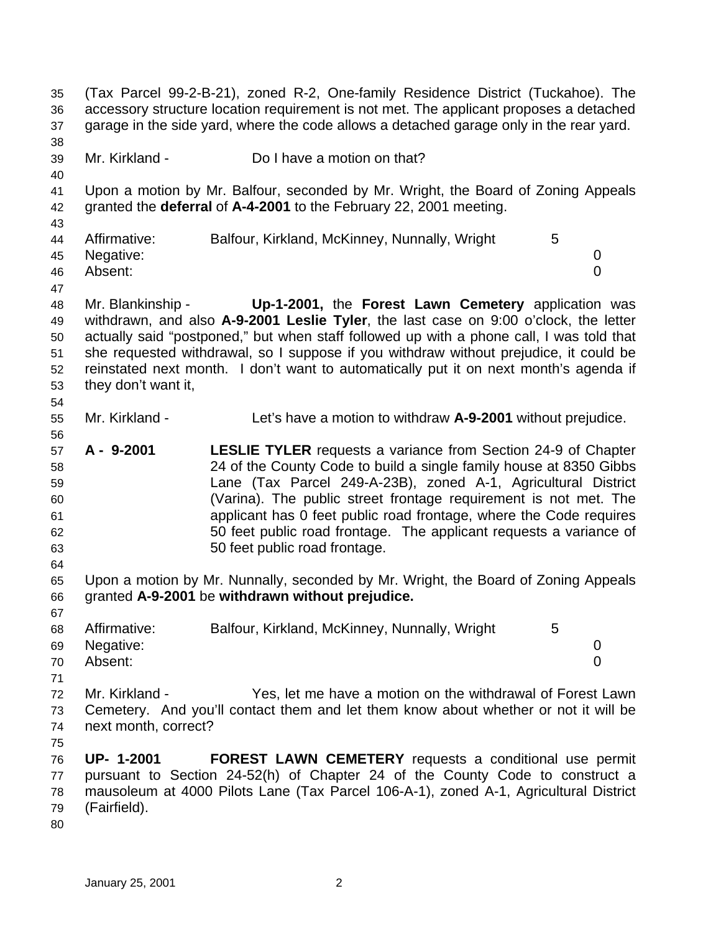(Tax Parcel 99-2-B-21), zoned R-2, One-family Residence District (Tuckahoe). The accessory structure location requirement is not met. The applicant proposes a detached garage in the side yard, where the code allows a detached garage only in the rear yard. Mr. Kirkland - Do I have a motion on that? Upon a motion by Mr. Balfour, seconded by Mr. Wright, the Board of Zoning Appeals granted the **deferral** of **A-4-2001** to the February 22, 2001 meeting. 44 Affirmative: Balfour, Kirkland, McKinney, Nunnally, Wright 5 Negative: 0 Absent: 0 Mr. Blankinship - **Up-1-2001,** the **Forest Lawn Cemetery** application was withdrawn, and also **A-9-2001 Leslie Tyler**, the last case on 9:00 o'clock, the letter actually said "postponed," but when staff followed up with a phone call, I was told that she requested withdrawal, so I suppose if you withdraw without prejudice, it could be reinstated next month. I don't want to automatically put it on next month's agenda if they don't want it, Mr. Kirkland - Let's have a motion to withdraw **A-9-2001** without prejudice. **A - 9-2001 LESLIE TYLER** requests a variance from Section 24-9 of Chapter 24 of the County Code to build a single family house at 8350 Gibbs Lane (Tax Parcel 249-A-23B), zoned A-1, Agricultural District (Varina). The public street frontage requirement is not met. The applicant has 0 feet public road frontage, where the Code requires 50 feet public road frontage. The applicant requests a variance of 50 feet public road frontage. Upon a motion by Mr. Nunnally, seconded by Mr. Wright, the Board of Zoning Appeals granted **A-9-2001** be **withdrawn without prejudice.**  68 Affirmative: Balfour, Kirkland, McKinney, Nunnally, Wright 5 Negative: 0 Absent: 0 Mr. Kirkland - Yes, let me have a motion on the withdrawal of Forest Lawn Cemetery. And you'll contact them and let them know about whether or not it will be next month, correct? **UP- 1-2001 FOREST LAWN CEMETERY** requests a conditional use permit pursuant to Section 24-52(h) of Chapter 24 of the County Code to construct a mausoleum at 4000 Pilots Lane (Tax Parcel 106-A-1), zoned A-1, Agricultural District (Fairfield).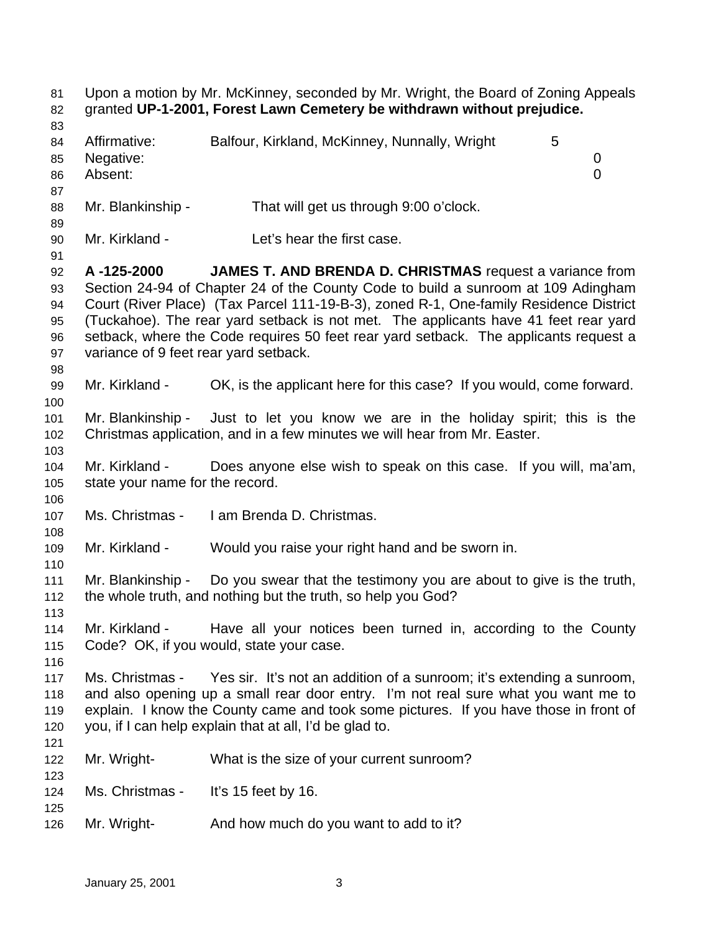Upon a motion by Mr. McKinney, seconded by Mr. Wright, the Board of Zoning Appeals granted **UP-1-2001, Forest Lawn Cemetery be withdrawn without prejudice.** 84 Affirmative: Balfour, Kirkland, McKinney, Nunnally, Wright 5 Negative: 0 Absent: 0 88 Mr. Blankinship - That will get us through 9:00 o'clock. Mr. Kirkland - Let's hear the first case. **A -125-2000 JAMES T. AND BRENDA D. CHRISTMAS** request a variance from Section 24-94 of Chapter 24 of the County Code to build a sunroom at 109 Adingham Court (River Place) (Tax Parcel 111-19-B-3), zoned R-1, One-family Residence District (Tuckahoe). The rear yard setback is not met. The applicants have 41 feet rear yard setback, where the Code requires 50 feet rear yard setback. The applicants request a variance of 9 feet rear yard setback. Mr. Kirkland - OK, is the applicant here for this case? If you would, come forward. Mr. Blankinship - Just to let you know we are in the holiday spirit; this is the Christmas application, and in a few minutes we will hear from Mr. Easter. Mr. Kirkland - Does anyone else wish to speak on this case. If you will, ma'am, state your name for the record. Ms. Christmas - I am Brenda D. Christmas. Mr. Kirkland - Would you raise your right hand and be sworn in. Mr. Blankinship - Do you swear that the testimony you are about to give is the truth, the whole truth, and nothing but the truth, so help you God? Mr. Kirkland - Have all your notices been turned in, according to the County Code? OK, if you would, state your case. Ms. Christmas - Yes sir. It's not an addition of a sunroom; it's extending a sunroom, and also opening up a small rear door entry. I'm not real sure what you want me to explain. I know the County came and took some pictures. If you have those in front of you, if I can help explain that at all, I'd be glad to. Mr. Wright- What is the size of your current sunroom? Ms. Christmas - It's 15 feet by 16. Mr. Wright- And how much do you want to add to it?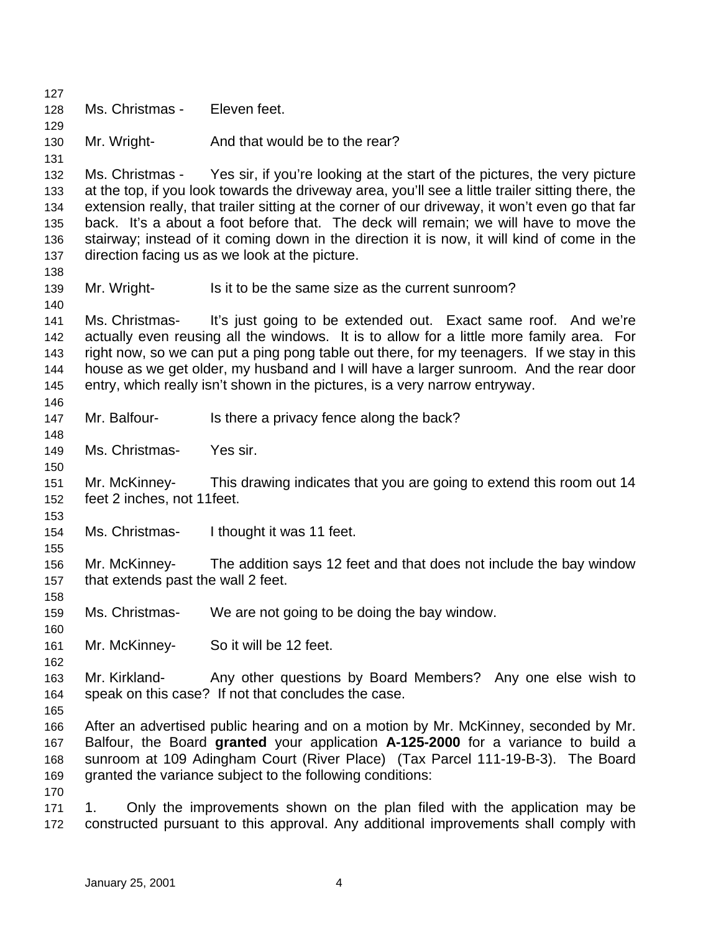Ms. Christmas - Eleven feet. 130 Mr. Wright- And that would be to the rear? Ms. Christmas - Yes sir, if you're looking at the start of the pictures, the very picture at the top, if you look towards the driveway area, you'll see a little trailer sitting there, the extension really, that trailer sitting at the corner of our driveway, it won't even go that far back. It's a about a foot before that. The deck will remain; we will have to move the stairway; instead of it coming down in the direction it is now, it will kind of come in the direction facing us as we look at the picture. Mr. Wright- Is it to be the same size as the current sunroom? Ms. Christmas- It's just going to be extended out. Exact same roof. And we're actually even reusing all the windows. It is to allow for a little more family area. For right now, so we can put a ping pong table out there, for my teenagers. If we stay in this house as we get older, my husband and I will have a larger sunroom. And the rear door entry, which really isn't shown in the pictures, is a very narrow entryway. 147 Mr. Balfour- Is there a privacy fence along the back? Ms. Christmas- Yes sir. Mr. McKinney- This drawing indicates that you are going to extend this room out 14 feet 2 inches, not 11feet. Ms. Christmas- I thought it was 11 feet. Mr. McKinney- The addition says 12 feet and that does not include the bay window that extends past the wall 2 feet. Ms. Christmas- We are not going to be doing the bay window. Mr. McKinney- So it will be 12 feet. Mr. Kirkland- Any other questions by Board Members? Any one else wish to speak on this case? If not that concludes the case. After an advertised public hearing and on a motion by Mr. McKinney, seconded by Mr. Balfour, the Board **granted** your application **A-125-2000** for a variance to build a sunroom at 109 Adingham Court (River Place) (Tax Parcel 111-19-B-3). The Board granted the variance subject to the following conditions: 1. Only the improvements shown on the plan filed with the application may be constructed pursuant to this approval. Any additional improvements shall comply with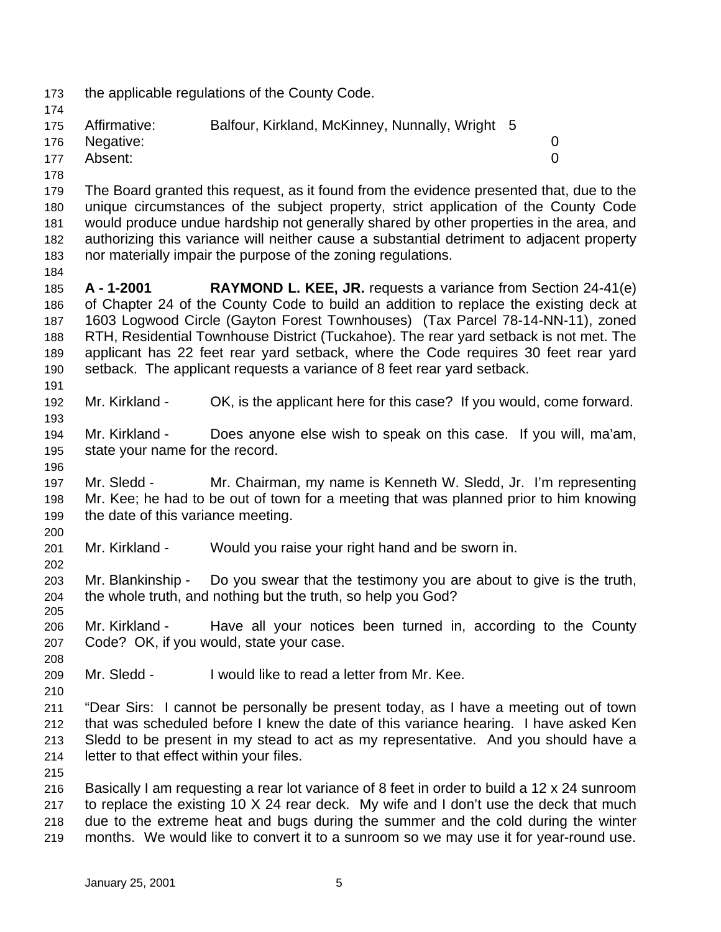the applicable regulations of the County Code. Affirmative: Balfour, Kirkland, McKinney, Nunnally, Wright 5 Negative: 0 Absent: 0 The Board granted this request, as it found from the evidence presented that, due to the unique circumstances of the subject property, strict application of the County Code would produce undue hardship not generally shared by other properties in the area, and authorizing this variance will neither cause a substantial detriment to adjacent property nor materially impair the purpose of the zoning regulations. **A - 1-2001 RAYMOND L. KEE, JR.** requests a variance from Section 24-41(e) of Chapter 24 of the County Code to build an addition to replace the existing deck at 1603 Logwood Circle (Gayton Forest Townhouses) (Tax Parcel 78-14-NN-11), zoned RTH, Residential Townhouse District (Tuckahoe). The rear yard setback is not met. The applicant has 22 feet rear yard setback, where the Code requires 30 feet rear yard setback. The applicant requests a variance of 8 feet rear yard setback. Mr. Kirkland - OK, is the applicant here for this case? If you would, come forward. Mr. Kirkland - Does anyone else wish to speak on this case. If you will, ma'am, state your name for the record. Mr. Sledd - Mr. Chairman, my name is Kenneth W. Sledd, Jr. I'm representing Mr. Kee; he had to be out of town for a meeting that was planned prior to him knowing the date of this variance meeting. Mr. Kirkland - Would you raise your right hand and be sworn in. Mr. Blankinship - Do you swear that the testimony you are about to give is the truth, the whole truth, and nothing but the truth, so help you God? Mr. Kirkland - Have all your notices been turned in, according to the County Code? OK, if you would, state your case. Mr. Sledd - I would like to read a letter from Mr. Kee. "Dear Sirs: I cannot be personally be present today, as I have a meeting out of town that was scheduled before I knew the date of this variance hearing. I have asked Ken Sledd to be present in my stead to act as my representative. And you should have a letter to that effect within your files. Basically I am requesting a rear lot variance of 8 feet in order to build a 12 x 24 sunroom to replace the existing 10 X 24 rear deck. My wife and I don't use the deck that much due to the extreme heat and bugs during the summer and the cold during the winter months. We would like to convert it to a sunroom so we may use it for year-round use.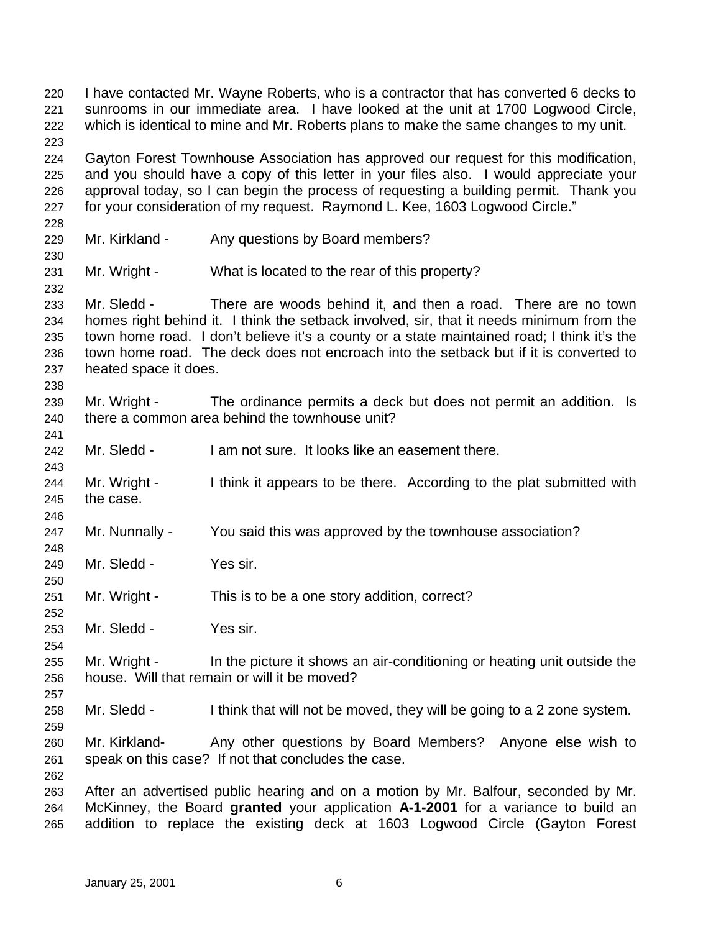I have contacted Mr. Wayne Roberts, who is a contractor that has converted 6 decks to sunrooms in our immediate area. I have looked at the unit at 1700 Logwood Circle, which is identical to mine and Mr. Roberts plans to make the same changes to my unit. Gayton Forest Townhouse Association has approved our request for this modification, and you should have a copy of this letter in your files also. I would appreciate your approval today, so I can begin the process of requesting a building permit. Thank you for your consideration of my request. Raymond L. Kee, 1603 Logwood Circle." 229 Mr. Kirkland - Any questions by Board members? Mr. Wright - What is located to the rear of this property? Mr. Sledd - There are woods behind it, and then a road. There are no town homes right behind it. I think the setback involved, sir, that it needs minimum from the town home road. I don't believe it's a county or a state maintained road; I think it's the town home road. The deck does not encroach into the setback but if it is converted to heated space it does. Mr. Wright - The ordinance permits a deck but does not permit an addition. Is there a common area behind the townhouse unit? Mr. Sledd - I am not sure. It looks like an easement there. 244 Mr. Wright - I think it appears to be there. According to the plat submitted with the case. Mr. Nunnally - You said this was approved by the townhouse association? Mr. Sledd - Yes sir. Mr. Wright - This is to be a one story addition, correct? Mr. Sledd - Yes sir. Mr. Wright - In the picture it shows an air-conditioning or heating unit outside the house. Will that remain or will it be moved? Mr. Sledd - I think that will not be moved, they will be going to a 2 zone system. Mr. Kirkland- Any other questions by Board Members? Anyone else wish to speak on this case? If not that concludes the case. After an advertised public hearing and on a motion by Mr. Balfour, seconded by Mr. McKinney, the Board **granted** your application **A-1-2001** for a variance to build an addition to replace the existing deck at 1603 Logwood Circle (Gayton Forest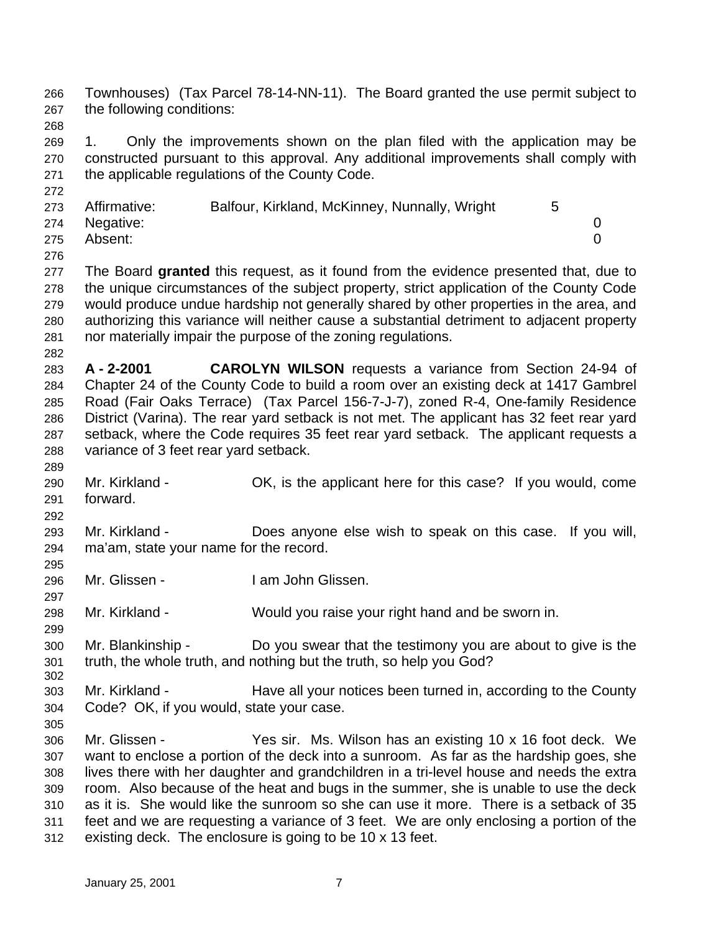Townhouses) (Tax Parcel 78-14-NN-11). The Board granted the use permit subject to the following conditions:

 1. Only the improvements shown on the plan filed with the application may be constructed pursuant to this approval. Any additional improvements shall comply with the applicable regulations of the County Code.

| 273 | Affirmative:  | Balfour, Kirkland, McKinney, Nunnally, Wright |  |
|-----|---------------|-----------------------------------------------|--|
|     | 274 Negative: |                                               |  |
| 275 | Absent:       |                                               |  |

 The Board **granted** this request, as it found from the evidence presented that, due to the unique circumstances of the subject property, strict application of the County Code would produce undue hardship not generally shared by other properties in the area, and authorizing this variance will neither cause a substantial detriment to adjacent property nor materially impair the purpose of the zoning regulations.

- **A 2-2001 CAROLYN WILSON** requests a variance from Section 24-94 of Chapter 24 of the County Code to build a room over an existing deck at 1417 Gambrel Road (Fair Oaks Terrace) (Tax Parcel 156-7-J-7), zoned R-4, One-family Residence District (Varina). The rear yard setback is not met. The applicant has 32 feet rear yard setback, where the Code requires 35 feet rear yard setback. The applicant requests a variance of 3 feet rear yard setback.
- Mr. Kirkland - OK, is the applicant here for this case? If you would, come forward.
- 

 Mr. Kirkland - Does anyone else wish to speak on this case. If you will, ma'am, state your name for the record. 

- Mr. Glissen I am John Glissen.
- Mr. Kirkland Would you raise your right hand and be sworn in.
- Mr. Blankinship Do you swear that the testimony you are about to give is the truth, the whole truth, and nothing but the truth, so help you God?
- Mr. Kirkland Have all your notices been turned in, according to the County Code? OK, if you would, state your case.
- 

 Mr. Glissen - Yes sir. Ms. Wilson has an existing 10 x 16 foot deck. We want to enclose a portion of the deck into a sunroom. As far as the hardship goes, she lives there with her daughter and grandchildren in a tri-level house and needs the extra room. Also because of the heat and bugs in the summer, she is unable to use the deck as it is. She would like the sunroom so she can use it more. There is a setback of 35 feet and we are requesting a variance of 3 feet. We are only enclosing a portion of the existing deck. The enclosure is going to be 10 x 13 feet.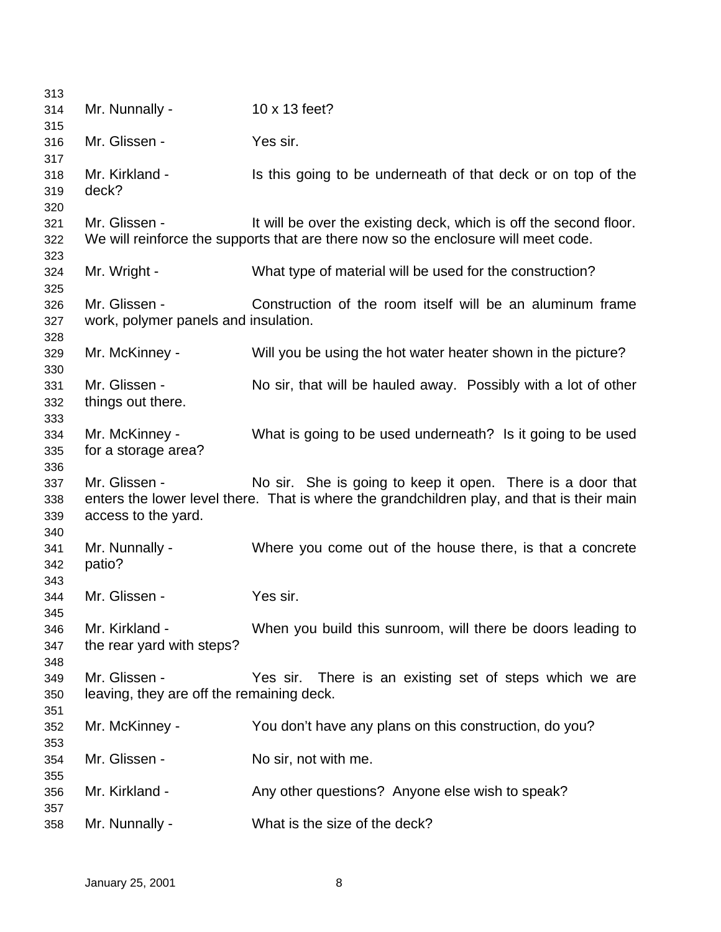| 313 |                                           |                                                                                            |
|-----|-------------------------------------------|--------------------------------------------------------------------------------------------|
| 314 | Mr. Nunnally -                            | 10 x 13 feet?                                                                              |
| 315 |                                           |                                                                                            |
| 316 | Mr. Glissen -                             | Yes sir.                                                                                   |
| 317 |                                           |                                                                                            |
| 318 | Mr. Kirkland -                            | Is this going to be underneath of that deck or on top of the                               |
| 319 | deck?                                     |                                                                                            |
| 320 |                                           |                                                                                            |
| 321 | Mr. Glissen -                             | It will be over the existing deck, which is off the second floor.                          |
| 322 |                                           | We will reinforce the supports that are there now so the enclosure will meet code.         |
| 323 |                                           |                                                                                            |
| 324 | Mr. Wright -                              | What type of material will be used for the construction?                                   |
| 325 |                                           |                                                                                            |
| 326 | Mr. Glissen -                             | Construction of the room itself will be an aluminum frame                                  |
| 327 | work, polymer panels and insulation.      |                                                                                            |
| 328 |                                           |                                                                                            |
|     |                                           | Will you be using the hot water heater shown in the picture?                               |
| 329 | Mr. McKinney -                            |                                                                                            |
| 330 |                                           |                                                                                            |
| 331 | Mr. Glissen -                             | No sir, that will be hauled away. Possibly with a lot of other                             |
| 332 | things out there.                         |                                                                                            |
| 333 |                                           |                                                                                            |
| 334 | Mr. McKinney -                            | What is going to be used underneath? Is it going to be used                                |
| 335 | for a storage area?                       |                                                                                            |
| 336 |                                           |                                                                                            |
| 337 | Mr. Glissen -                             | No sir. She is going to keep it open. There is a door that                                 |
| 338 |                                           | enters the lower level there. That is where the grandchildren play, and that is their main |
| 339 | access to the yard.                       |                                                                                            |
| 340 |                                           |                                                                                            |
| 341 | Mr. Nunnally -                            | Where you come out of the house there, is that a concrete                                  |
| 342 | patio?                                    |                                                                                            |
| 343 |                                           |                                                                                            |
| 344 | Mr. Glissen -                             | Yes sir.                                                                                   |
| 345 |                                           |                                                                                            |
| 346 | Mr. Kirkland -                            | When you build this sunroom, will there be doors leading to                                |
| 347 | the rear yard with steps?                 |                                                                                            |
| 348 |                                           |                                                                                            |
| 349 | Mr. Glissen -                             | There is an existing set of steps which we are<br>Yes sir.                                 |
| 350 | leaving, they are off the remaining deck. |                                                                                            |
|     |                                           |                                                                                            |
| 351 |                                           |                                                                                            |
| 352 | Mr. McKinney -                            | You don't have any plans on this construction, do you?                                     |
| 353 |                                           |                                                                                            |
| 354 | Mr. Glissen -                             | No sir, not with me.                                                                       |
| 355 |                                           |                                                                                            |
| 356 | Mr. Kirkland -                            | Any other questions? Anyone else wish to speak?                                            |
| 357 |                                           |                                                                                            |
| 358 | Mr. Nunnally -                            | What is the size of the deck?                                                              |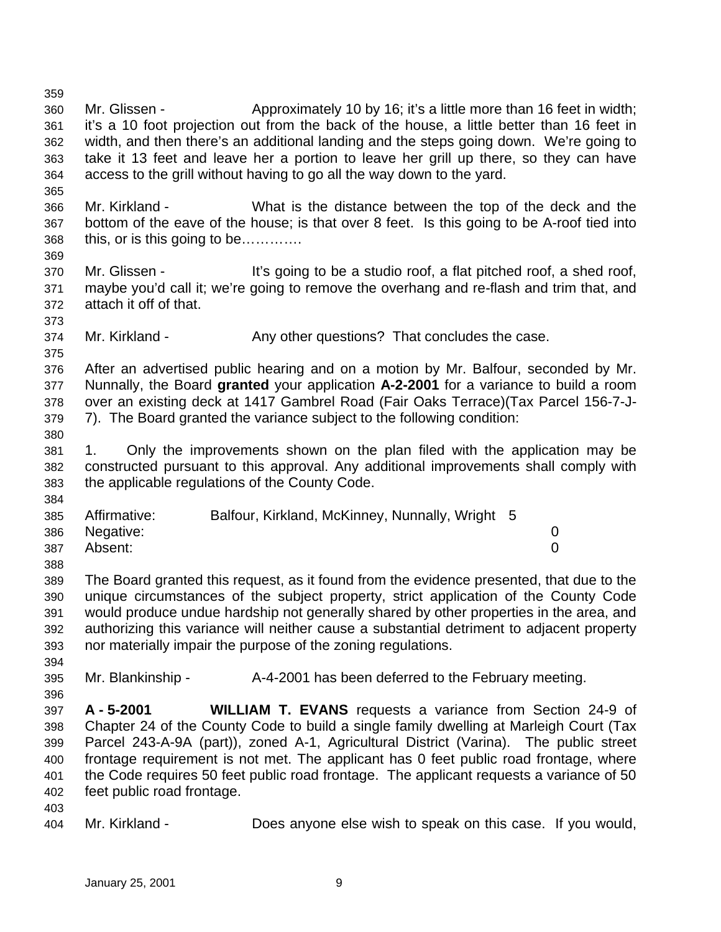it's a 10 foot projection out from the back of the house, a little better than 16 feet in width, and then there's an additional landing and the steps going down. We're going to take it 13 feet and leave her a portion to leave her grill up there, so they can have access to the grill without having to go all the way down to the yard. Mr. Kirkland - What is the distance between the top of the deck and the bottom of the eave of the house; is that over 8 feet. Is this going to be A-roof tied into this, or is this going to be…………. Mr. Glissen - It's going to be a studio roof, a flat pitched roof, a shed roof, maybe you'd call it; we're going to remove the overhang and re-flash and trim that, and attach it off of that. Mr. Kirkland - Any other questions? That concludes the case. After an advertised public hearing and on a motion by Mr. Balfour, seconded by Mr. Nunnally, the Board **granted** your application **A-2-2001** for a variance to build a room over an existing deck at 1417 Gambrel Road (Fair Oaks Terrace)(Tax Parcel 156-7-J- 7). The Board granted the variance subject to the following condition: 1. Only the improvements shown on the plan filed with the application may be constructed pursuant to this approval. Any additional improvements shall comply with the applicable regulations of the County Code. Affirmative: Balfour, Kirkland, McKinney, Nunnally, Wright 5 Negative: 0 Absent: 0 The Board granted this request, as it found from the evidence presented, that due to the unique circumstances of the subject property, strict application of the County Code would produce undue hardship not generally shared by other properties in the area, and authorizing this variance will neither cause a substantial detriment to adjacent property nor materially impair the purpose of the zoning regulations. Mr. Blankinship - A-4-2001 has been deferred to the February meeting. **A - 5-2001 WILLIAM T. EVANS** requests a variance from Section 24-9 of Chapter 24 of the County Code to build a single family dwelling at Marleigh Court (Tax Parcel 243-A-9A (part)), zoned A-1, Agricultural District (Varina). The public street frontage requirement is not met. The applicant has 0 feet public road frontage, where the Code requires 50 feet public road frontage. The applicant requests a variance of 50 feet public road frontage. Mr. Kirkland - Does anyone else wish to speak on this case. If you would,

Mr. Glissen - Approximately 10 by 16; it's a little more than 16 feet in width;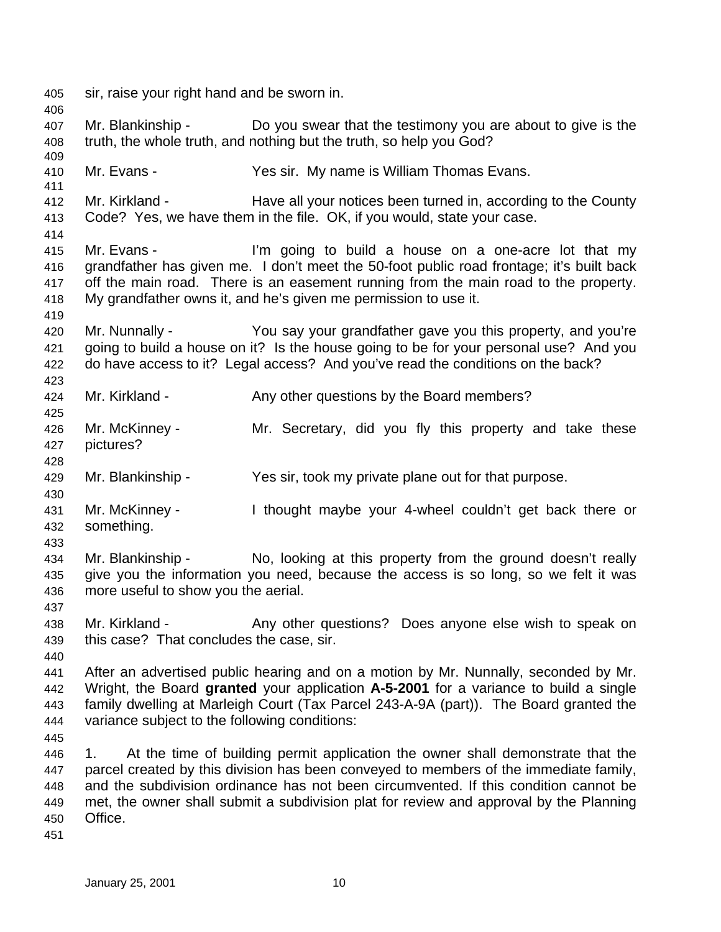sir, raise your right hand and be sworn in. Mr. Blankinship - Do you swear that the testimony you are about to give is the truth, the whole truth, and nothing but the truth, so help you God? Mr. Evans - Yes sir. My name is William Thomas Evans. Mr. Kirkland - Have all your notices been turned in, according to the County Code? Yes, we have them in the file. OK, if you would, state your case. Mr. Evans - I'm going to build a house on a one-acre lot that my grandfather has given me. I don't meet the 50-foot public road frontage; it's built back off the main road. There is an easement running from the main road to the property. My grandfather owns it, and he's given me permission to use it. Mr. Nunnally - You say your grandfather gave you this property, and you're going to build a house on it? Is the house going to be for your personal use? And you do have access to it? Legal access? And you've read the conditions on the back? 424 Mr. Kirkland - Any other questions by the Board members? Mr. McKinney - Mr. Secretary, did you fly this property and take these pictures? Mr. Blankinship - Yes sir, took my private plane out for that purpose. Mr. McKinney - I thought maybe your 4-wheel couldn't get back there or something. Mr. Blankinship - No, looking at this property from the ground doesn't really give you the information you need, because the access is so long, so we felt it was more useful to show you the aerial. 438 Mr. Kirkland - Any other questions? Does anyone else wish to speak on this case? That concludes the case, sir. After an advertised public hearing and on a motion by Mr. Nunnally, seconded by Mr. Wright, the Board **granted** your application **A-5-2001** for a variance to build a single family dwelling at Marleigh Court (Tax Parcel 243-A-9A (part)). The Board granted the variance subject to the following conditions: 1. At the time of building permit application the owner shall demonstrate that the parcel created by this division has been conveyed to members of the immediate family, and the subdivision ordinance has not been circumvented. If this condition cannot be met, the owner shall submit a subdivision plat for review and approval by the Planning Office.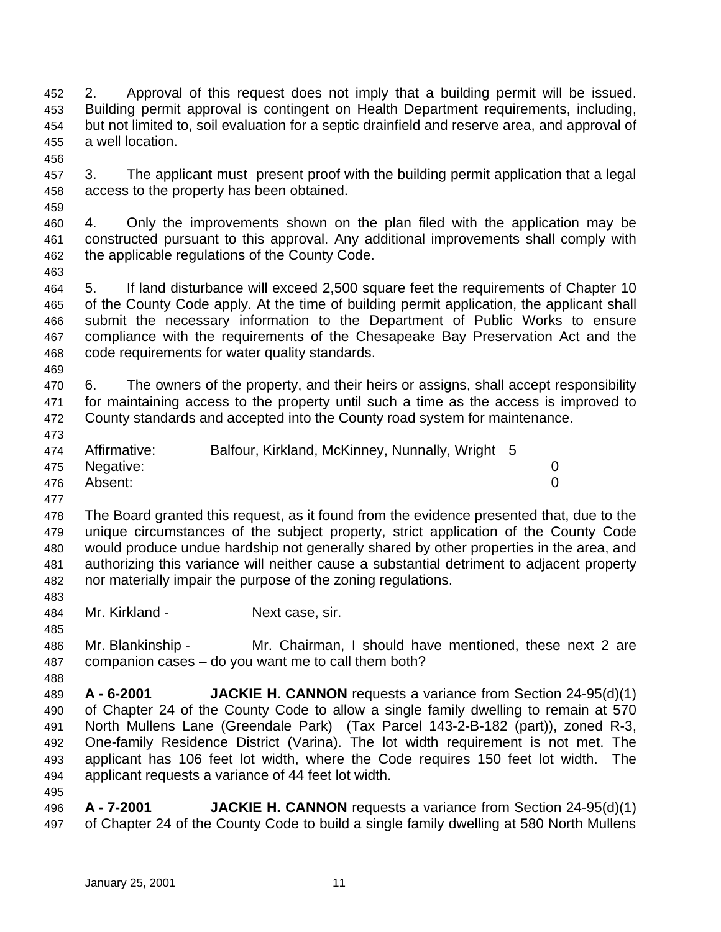2. Approval of this request does not imply that a building permit will be issued. Building permit approval is contingent on Health Department requirements, including, but not limited to, soil evaluation for a septic drainfield and reserve area, and approval of a well location.

 3. The applicant must present proof with the building permit application that a legal access to the property has been obtained.

 4. Only the improvements shown on the plan filed with the application may be constructed pursuant to this approval. Any additional improvements shall comply with the applicable regulations of the County Code.

 5. If land disturbance will exceed 2,500 square feet the requirements of Chapter 10 of the County Code apply. At the time of building permit application, the applicant shall submit the necessary information to the Department of Public Works to ensure compliance with the requirements of the Chesapeake Bay Preservation Act and the code requirements for water quality standards.

 6. The owners of the property, and their heirs or assigns, shall accept responsibility for maintaining access to the property until such a time as the access is improved to County standards and accepted into the County road system for maintenance.

Affirmative: Balfour, Kirkland, McKinney, Nunnally, Wright 5

Negative: 0

Absent: 0

 The Board granted this request, as it found from the evidence presented that, due to the unique circumstances of the subject property, strict application of the County Code would produce undue hardship not generally shared by other properties in the area, and authorizing this variance will neither cause a substantial detriment to adjacent property nor materially impair the purpose of the zoning regulations.

Mr. Kirkland - Next case, sir.

 Mr. Blankinship - Mr. Chairman, I should have mentioned, these next 2 are companion cases – do you want me to call them both?

 **A - 6-2001 JACKIE H. CANNON** requests a variance from Section 24-95(d)(1) of Chapter 24 of the County Code to allow a single family dwelling to remain at 570 North Mullens Lane (Greendale Park) (Tax Parcel 143-2-B-182 (part)), zoned R-3, One-family Residence District (Varina). The lot width requirement is not met. The applicant has 106 feet lot width, where the Code requires 150 feet lot width. The applicant requests a variance of 44 feet lot width.

 **A - 7-2001 JACKIE H. CANNON** requests a variance from Section 24-95(d)(1) of Chapter 24 of the County Code to build a single family dwelling at 580 North Mullens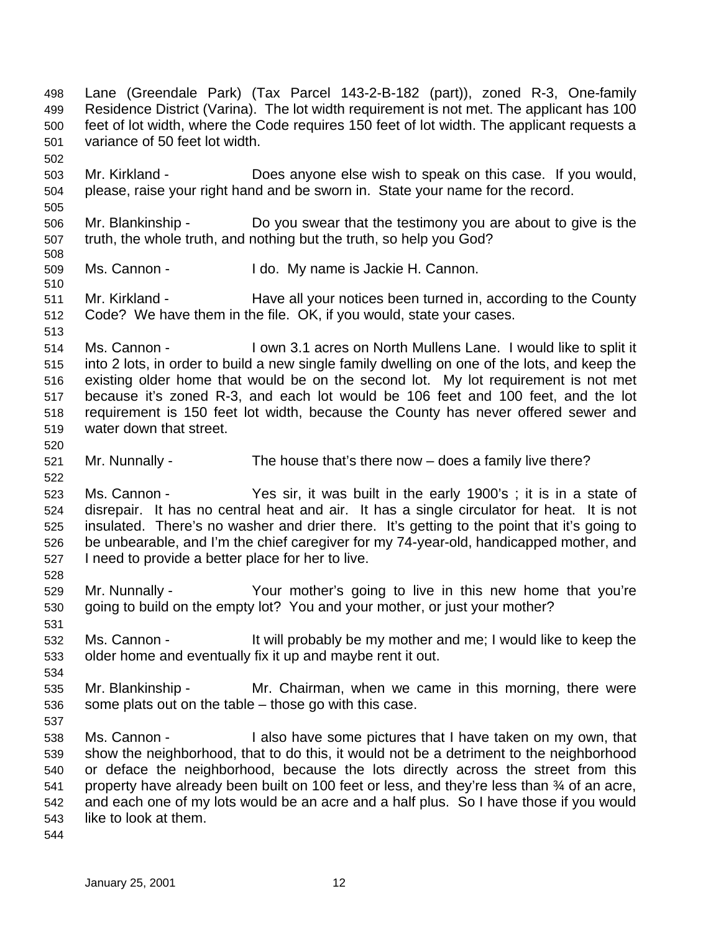Lane (Greendale Park) (Tax Parcel 143-2-B-182 (part)), zoned R-3, One-family Residence District (Varina). The lot width requirement is not met. The applicant has 100 feet of lot width, where the Code requires 150 feet of lot width. The applicant requests a variance of 50 feet lot width. Mr. Kirkland - Does anyone else wish to speak on this case. If you would, please, raise your right hand and be sworn in. State your name for the record. Mr. Blankinship - Do you swear that the testimony you are about to give is the truth, the whole truth, and nothing but the truth, so help you God? Ms. Cannon - I do. My name is Jackie H. Cannon. Mr. Kirkland - Have all your notices been turned in, according to the County Code? We have them in the file. OK, if you would, state your cases. Ms. Cannon - I own 3.1 acres on North Mullens Lane. I would like to split it into 2 lots, in order to build a new single family dwelling on one of the lots, and keep the existing older home that would be on the second lot. My lot requirement is not met because it's zoned R-3, and each lot would be 106 feet and 100 feet, and the lot requirement is 150 feet lot width, because the County has never offered sewer and water down that street. Mr. Nunnally - The house that's there now – does a family live there? Ms. Cannon - Yes sir, it was built in the early 1900's ; it is in a state of disrepair. It has no central heat and air. It has a single circulator for heat. It is not insulated. There's no washer and drier there. It's getting to the point that it's going to be unbearable, and I'm the chief caregiver for my 74-year-old, handicapped mother, and I need to provide a better place for her to live. Mr. Nunnally - Your mother's going to live in this new home that you're going to build on the empty lot? You and your mother, or just your mother? Ms. Cannon - It will probably be my mother and me; I would like to keep the older home and eventually fix it up and maybe rent it out. Mr. Blankinship - Mr. Chairman, when we came in this morning, there were some plats out on the table – those go with this case. Ms. Cannon - I also have some pictures that I have taken on my own, that show the neighborhood, that to do this, it would not be a detriment to the neighborhood or deface the neighborhood, because the lots directly across the street from this 541 property have already been built on 100 feet or less, and they're less than  $\frac{3}{4}$  of an acre, and each one of my lots would be an acre and a half plus. So I have those if you would like to look at them.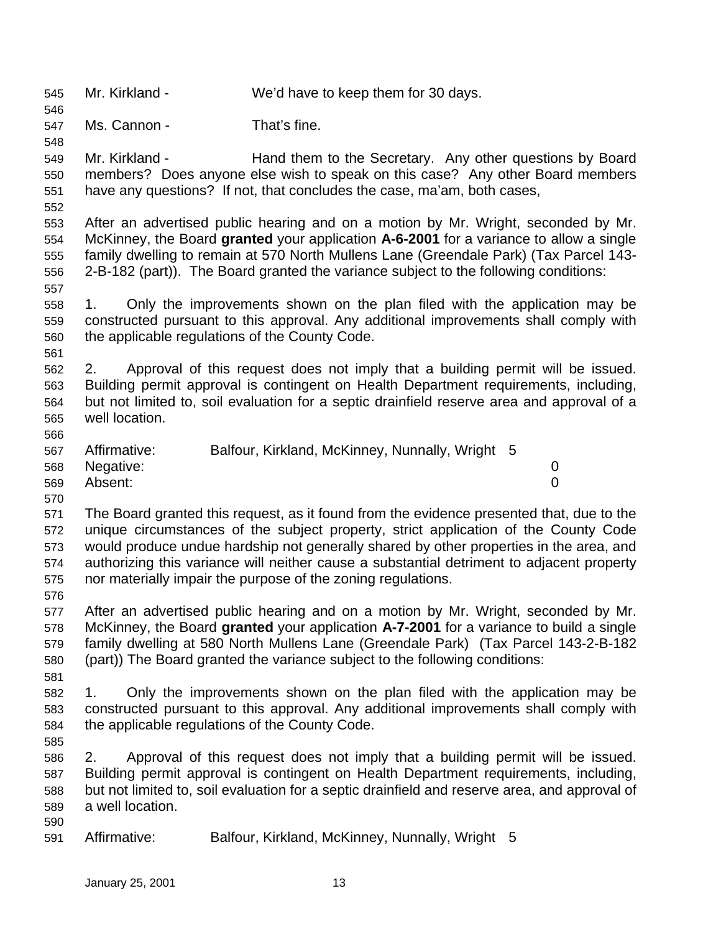Mr. Kirkland - We'd have to keep them for 30 days.

Ms. Cannon - That's fine.

 Mr. Kirkland - Hand them to the Secretary. Any other questions by Board members? Does anyone else wish to speak on this case? Any other Board members have any questions? If not, that concludes the case, ma'am, both cases,

 After an advertised public hearing and on a motion by Mr. Wright, seconded by Mr. McKinney, the Board **granted** your application **A-6-2001** for a variance to allow a single family dwelling to remain at 570 North Mullens Lane (Greendale Park) (Tax Parcel 143- 2-B-182 (part)). The Board granted the variance subject to the following conditions:

 1. Only the improvements shown on the plan filed with the application may be constructed pursuant to this approval. Any additional improvements shall comply with the applicable regulations of the County Code.

 2. Approval of this request does not imply that a building permit will be issued. Building permit approval is contingent on Health Department requirements, including, but not limited to, soil evaluation for a septic drainfield reserve area and approval of a well location. 

| 567 | Affirmative:  | Balfour, Kirkland, McKinney, Nunnally, Wright 5 |  |
|-----|---------------|-------------------------------------------------|--|
|     | 568 Negative: |                                                 |  |
| 569 | Absent:       |                                                 |  |

 The Board granted this request, as it found from the evidence presented that, due to the unique circumstances of the subject property, strict application of the County Code would produce undue hardship not generally shared by other properties in the area, and authorizing this variance will neither cause a substantial detriment to adjacent property nor materially impair the purpose of the zoning regulations.

 After an advertised public hearing and on a motion by Mr. Wright, seconded by Mr. McKinney, the Board **granted** your application **A-7-2001** for a variance to build a single family dwelling at 580 North Mullens Lane (Greendale Park) (Tax Parcel 143-2-B-182 (part)) The Board granted the variance subject to the following conditions:

 1. Only the improvements shown on the plan filed with the application may be constructed pursuant to this approval. Any additional improvements shall comply with the applicable regulations of the County Code.

 2. Approval of this request does not imply that a building permit will be issued. Building permit approval is contingent on Health Department requirements, including, but not limited to, soil evaluation for a septic drainfield and reserve area, and approval of a well location. 

Affirmative: Balfour, Kirkland, McKinney, Nunnally, Wright 5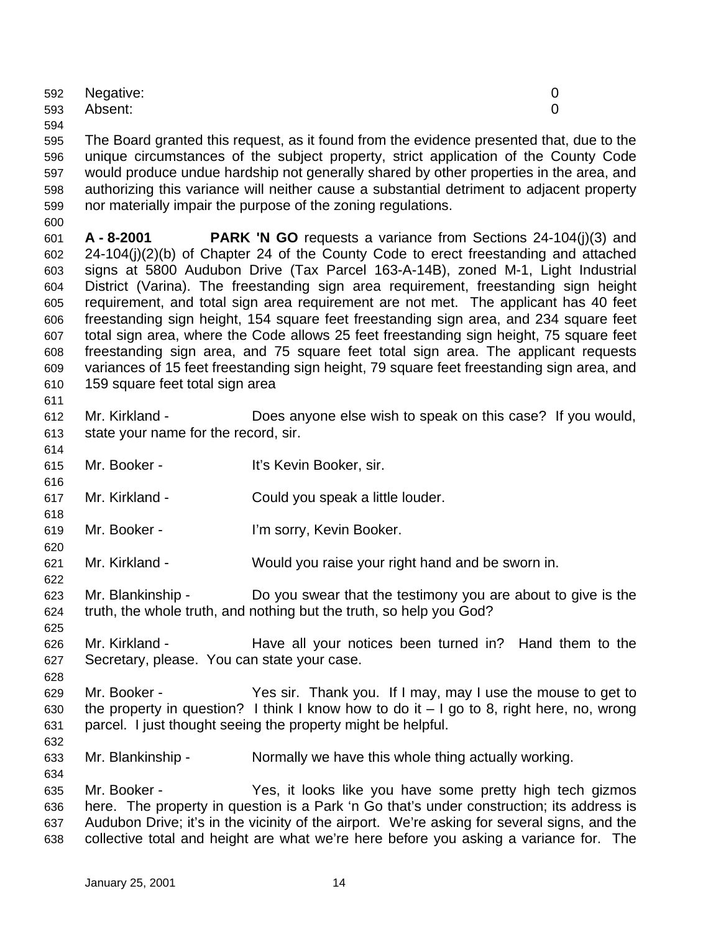|     | 592 Negative: |          |
|-----|---------------|----------|
|     | 593 Absent:   | $\Omega$ |
| 594 |               |          |

 The Board granted this request, as it found from the evidence presented that, due to the unique circumstances of the subject property, strict application of the County Code would produce undue hardship not generally shared by other properties in the area, and authorizing this variance will neither cause a substantial detriment to adjacent property nor materially impair the purpose of the zoning regulations.

 **A - 8-2001 PARK 'N GO** requests a variance from Sections 24-104(j)(3) and 24-104(j)(2)(b) of Chapter 24 of the County Code to erect freestanding and attached signs at 5800 Audubon Drive (Tax Parcel 163-A-14B), zoned M-1, Light Industrial District (Varina). The freestanding sign area requirement, freestanding sign height requirement, and total sign area requirement are not met. The applicant has 40 feet freestanding sign height, 154 square feet freestanding sign area, and 234 square feet total sign area, where the Code allows 25 feet freestanding sign height, 75 square feet freestanding sign area, and 75 square feet total sign area. The applicant requests variances of 15 feet freestanding sign height, 79 square feet freestanding sign area, and 159 square feet total sign area

 Mr. Kirkland - Does anyone else wish to speak on this case? If you would, state your name for the record, sir.

- Mr. Booker It's Kevin Booker, sir.
- Mr. Kirkland Could you speak a little louder.
- Mr. Booker I'm sorry, Kevin Booker.
- Mr. Kirkland Would you raise your right hand and be sworn in.
- Mr. Blankinship Do you swear that the testimony you are about to give is the truth, the whole truth, and nothing but the truth, so help you God?
- Mr. Kirkland Have all your notices been turned in? Hand them to the Secretary, please. You can state your case.
- Mr. Booker Yes sir. Thank you. If I may, may I use the mouse to get to 630 the property in question? I think I know how to do it  $-1$  go to 8, right here, no, wrong parcel. I just thought seeing the property might be helpful.
- Mr. Blankinship Normally we have this whole thing actually working.
- Mr. Booker Yes, it looks like you have some pretty high tech gizmos here. The property in question is a Park 'n Go that's under construction; its address is Audubon Drive; it's in the vicinity of the airport. We're asking for several signs, and the collective total and height are what we're here before you asking a variance for. The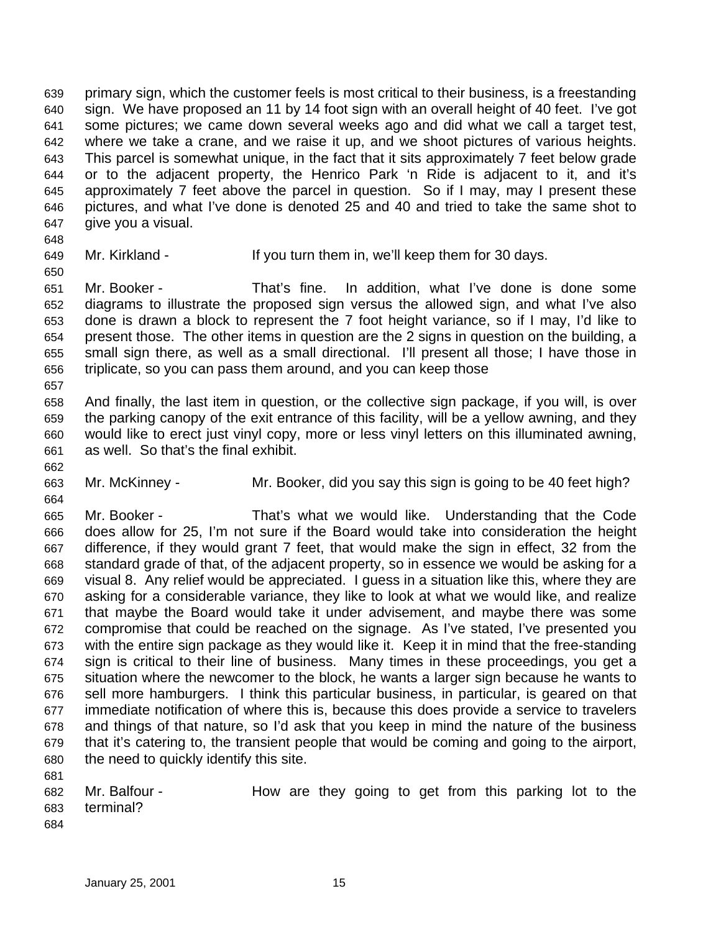primary sign, which the customer feels is most critical to their business, is a freestanding sign. We have proposed an 11 by 14 foot sign with an overall height of 40 feet. I've got some pictures; we came down several weeks ago and did what we call a target test, where we take a crane, and we raise it up, and we shoot pictures of various heights. This parcel is somewhat unique, in the fact that it sits approximately 7 feet below grade or to the adjacent property, the Henrico Park 'n Ride is adjacent to it, and it's approximately 7 feet above the parcel in question. So if I may, may I present these pictures, and what I've done is denoted 25 and 40 and tried to take the same shot to give you a visual.

Mr. Kirkland - If you turn them in, we'll keep them for 30 days.

 Mr. Booker - That's fine. In addition, what I've done is done some diagrams to illustrate the proposed sign versus the allowed sign, and what I've also done is drawn a block to represent the 7 foot height variance, so if I may, I'd like to present those. The other items in question are the 2 signs in question on the building, a small sign there, as well as a small directional. I'll present all those; I have those in triplicate, so you can pass them around, and you can keep those 

 And finally, the last item in question, or the collective sign package, if you will, is over the parking canopy of the exit entrance of this facility, will be a yellow awning, and they would like to erect just vinyl copy, more or less vinyl letters on this illuminated awning, as well. So that's the final exhibit.

Mr. McKinney - Mr. Booker, did you say this sign is going to be 40 feet high?

 Mr. Booker - That's what we would like. Understanding that the Code does allow for 25, I'm not sure if the Board would take into consideration the height difference, if they would grant 7 feet, that would make the sign in effect, 32 from the standard grade of that, of the adjacent property, so in essence we would be asking for a visual 8. Any relief would be appreciated. I guess in a situation like this, where they are asking for a considerable variance, they like to look at what we would like, and realize that maybe the Board would take it under advisement, and maybe there was some compromise that could be reached on the signage. As I've stated, I've presented you with the entire sign package as they would like it. Keep it in mind that the free-standing sign is critical to their line of business. Many times in these proceedings, you get a situation where the newcomer to the block, he wants a larger sign because he wants to sell more hamburgers. I think this particular business, in particular, is geared on that immediate notification of where this is, because this does provide a service to travelers and things of that nature, so I'd ask that you keep in mind the nature of the business that it's catering to, the transient people that would be coming and going to the airport, the need to quickly identify this site. 

- Mr. Balfour How are they going to get from this parking lot to the terminal?
-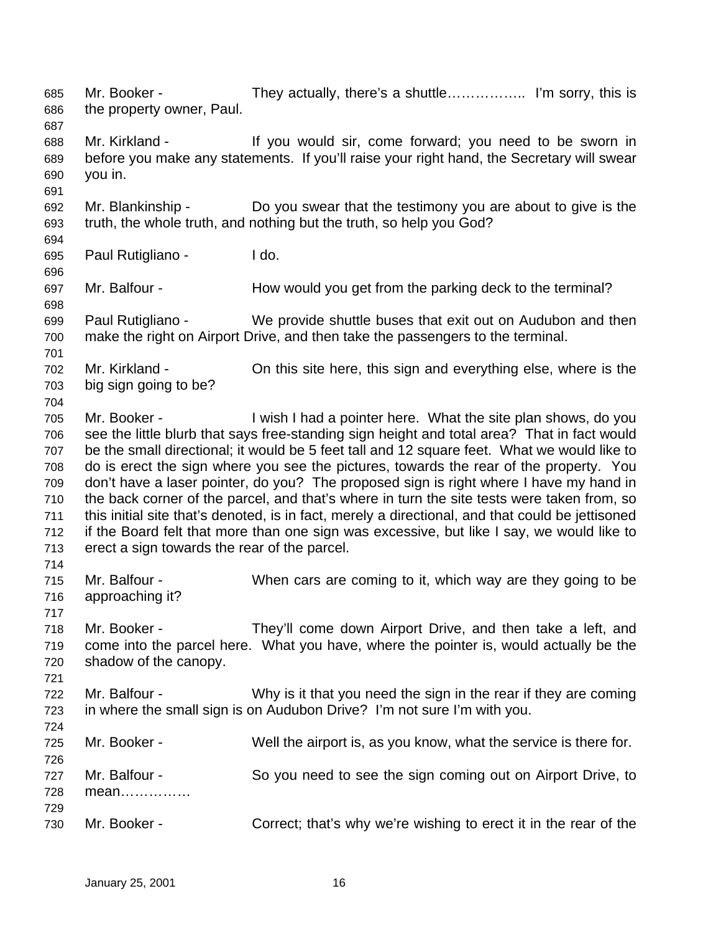Mr. Booker - They actually, there's a shuttle…………….. I'm sorry, this is the property owner, Paul. Mr. Kirkland - If you would sir, come forward; you need to be sworn in before you make any statements. If you'll raise your right hand, the Secretary will swear you in. Mr. Blankinship - Do you swear that the testimony you are about to give is the truth, the whole truth, and nothing but the truth, so help you God? Paul Rutigliano - I do. Mr. Balfour - How would you get from the parking deck to the terminal? Paul Rutigliano - We provide shuttle buses that exit out on Audubon and then make the right on Airport Drive, and then take the passengers to the terminal. Mr. Kirkland - On this site here, this sign and everything else, where is the big sign going to be? Mr. Booker - I wish I had a pointer here. What the site plan shows, do you see the little blurb that says free-standing sign height and total area? That in fact would be the small directional; it would be 5 feet tall and 12 square feet. What we would like to do is erect the sign where you see the pictures, towards the rear of the property. You don't have a laser pointer, do you? The proposed sign is right where I have my hand in the back corner of the parcel, and that's where in turn the site tests were taken from, so this initial site that's denoted, is in fact, merely a directional, and that could be jettisoned if the Board felt that more than one sign was excessive, but like I say, we would like to erect a sign towards the rear of the parcel. Mr. Balfour - When cars are coming to it, which way are they going to be approaching it? Mr. Booker - They'll come down Airport Drive, and then take a left, and come into the parcel here. What you have, where the pointer is, would actually be the shadow of the canopy. Mr. Balfour - Why is it that you need the sign in the rear if they are coming in where the small sign is on Audubon Drive? I'm not sure I'm with you. Mr. Booker - Well the airport is, as you know, what the service is there for. Mr. Balfour - So you need to see the sign coming out on Airport Drive, to mean…………… Mr. Booker - Correct; that's why we're wishing to erect it in the rear of the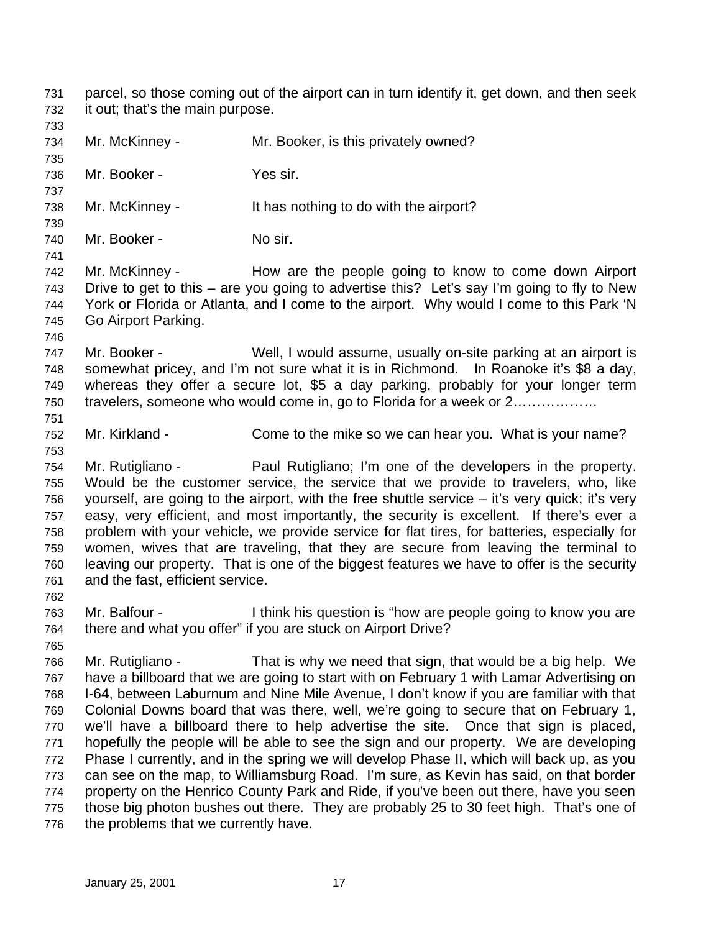parcel, so those coming out of the airport can in turn identify it, get down, and then seek it out; that's the main purpose.

- 734 Mr. McKinney Mr. Booker, is this privately owned? Mr. Booker - Yes sir. Mr. McKinney - It has nothing to do with the airport? 740 Mr. Booker - No sir. Mr. McKinney - How are the people going to know to come down Airport Drive to get to this – are you going to advertise this? Let's say I'm going to fly to New York or Florida or Atlanta, and I come to the airport. Why would I come to this Park 'N Go Airport Parking. Mr. Booker - Well, I would assume, usually on-site parking at an airport is somewhat pricey, and I'm not sure what it is in Richmond. In Roanoke it's \$8 a day, whereas they offer a secure lot, \$5 a day parking, probably for your longer term travelers, someone who would come in, go to Florida for a week or 2……………… Mr. Kirkland - Come to the mike so we can hear you. What is your name? Mr. Rutigliano - Paul Rutigliano; I'm one of the developers in the property. Would be the customer service, the service that we provide to travelers, who, like yourself, are going to the airport, with the free shuttle service – it's very quick; it's very easy, very efficient, and most importantly, the security is excellent. If there's ever a problem with your vehicle, we provide service for flat tires, for batteries, especially for women, wives that are traveling, that they are secure from leaving the terminal to leaving our property. That is one of the biggest features we have to offer is the security and the fast, efficient service. Mr. Balfour - I think his question is "how are people going to know you are there and what you offer" if you are stuck on Airport Drive? Mr. Rutigliano - That is why we need that sign, that would be a big help. We have a billboard that we are going to start with on February 1 with Lamar Advertising on I-64, between Laburnum and Nine Mile Avenue, I don't know if you are familiar with that Colonial Downs board that was there, well, we're going to secure that on February 1, we'll have a billboard there to help advertise the site. Once that sign is placed, hopefully the people will be able to see the sign and our property. We are developing Phase I currently, and in the spring we will develop Phase II, which will back up, as you can see on the map, to Williamsburg Road. I'm sure, as Kevin has said, on that border property on the Henrico County Park and Ride, if you've been out there, have you seen those big photon bushes out there. They are probably 25 to 30 feet high. That's one of
- 776 the problems that we currently have.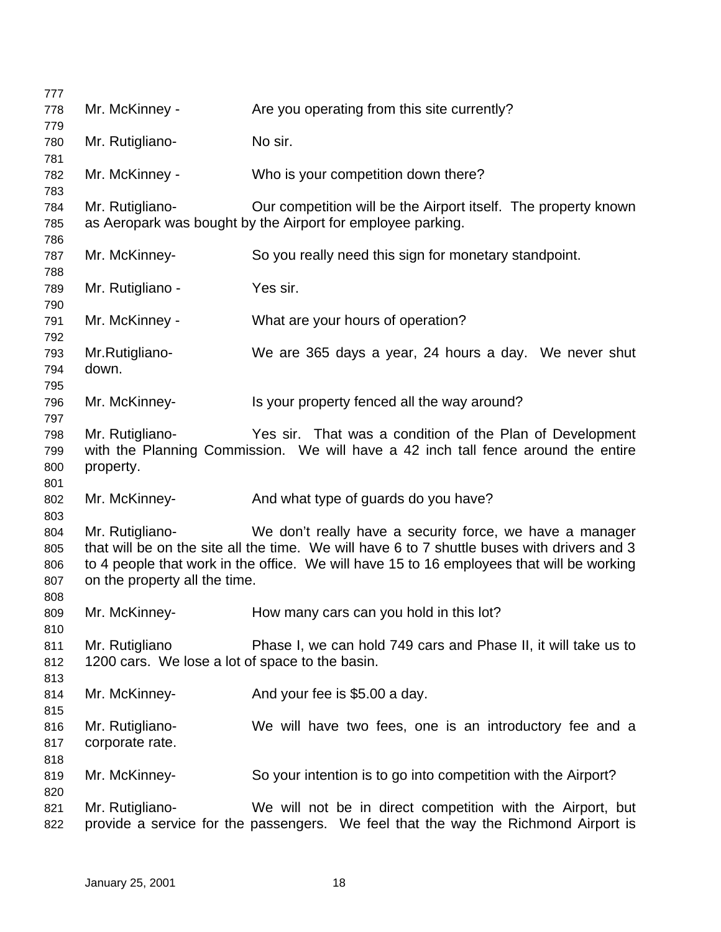| 777        |                                                 |                                                                                                                                               |
|------------|-------------------------------------------------|-----------------------------------------------------------------------------------------------------------------------------------------------|
| 778        | Mr. McKinney -                                  | Are you operating from this site currently?                                                                                                   |
| 779        |                                                 |                                                                                                                                               |
| 780        | Mr. Rutigliano-                                 | No sir.                                                                                                                                       |
| 781        |                                                 |                                                                                                                                               |
| 782        | Mr. McKinney -                                  | Who is your competition down there?                                                                                                           |
| 783        |                                                 |                                                                                                                                               |
| 784        | Mr. Rutigliano-                                 | Our competition will be the Airport itself. The property known                                                                                |
| 785        |                                                 | as Aeropark was bought by the Airport for employee parking.                                                                                   |
| 786        |                                                 |                                                                                                                                               |
| 787        | Mr. McKinney-                                   | So you really need this sign for monetary standpoint.                                                                                         |
| 788        |                                                 |                                                                                                                                               |
| 789        | Mr. Rutigliano -                                | Yes sir.                                                                                                                                      |
| 790        |                                                 |                                                                                                                                               |
| 791        | Mr. McKinney -                                  | What are your hours of operation?                                                                                                             |
| 792        |                                                 |                                                                                                                                               |
| 793        | Mr.Rutigliano-                                  | We are 365 days a year, 24 hours a day. We never shut                                                                                         |
| 794        | down.                                           |                                                                                                                                               |
| 795        |                                                 |                                                                                                                                               |
| 796        | Mr. McKinney-                                   | Is your property fenced all the way around?                                                                                                   |
| 797        |                                                 |                                                                                                                                               |
| 798        | Mr. Rutigliano-                                 | Yes sir. That was a condition of the Plan of Development<br>with the Planning Commission. We will have a 42 inch tall fence around the entire |
| 799        |                                                 |                                                                                                                                               |
| 800        | property.                                       |                                                                                                                                               |
| 801<br>802 | Mr. McKinney-                                   | And what type of guards do you have?                                                                                                          |
| 803        |                                                 |                                                                                                                                               |
| 804        | Mr. Rutigliano-                                 | We don't really have a security force, we have a manager                                                                                      |
| 805        |                                                 | that will be on the site all the time. We will have 6 to 7 shuttle buses with drivers and 3                                                   |
| 806        |                                                 | to 4 people that work in the office. We will have 15 to 16 employees that will be working                                                     |
| 807        | on the property all the time.                   |                                                                                                                                               |
| 808        |                                                 |                                                                                                                                               |
| 809        | Mr. McKinney-                                   | How many cars can you hold in this lot?                                                                                                       |
| 810        |                                                 |                                                                                                                                               |
| 811        | Mr. Rutigliano                                  | Phase I, we can hold 749 cars and Phase II, it will take us to                                                                                |
| 812        | 1200 cars. We lose a lot of space to the basin. |                                                                                                                                               |
| 813        |                                                 |                                                                                                                                               |
| 814        | Mr. McKinney-                                   | And your fee is \$5.00 a day.                                                                                                                 |
| 815        |                                                 |                                                                                                                                               |
| 816        | Mr. Rutigliano-                                 | We will have two fees, one is an introductory fee and a                                                                                       |
| 817        | corporate rate.                                 |                                                                                                                                               |
| 818        |                                                 |                                                                                                                                               |
| 819        | Mr. McKinney-                                   | So your intention is to go into competition with the Airport?                                                                                 |
| 820        |                                                 |                                                                                                                                               |
| 821        | Mr. Rutigliano-                                 | We will not be in direct competition with the Airport, but                                                                                    |
| 822        |                                                 | provide a service for the passengers. We feel that the way the Richmond Airport is                                                            |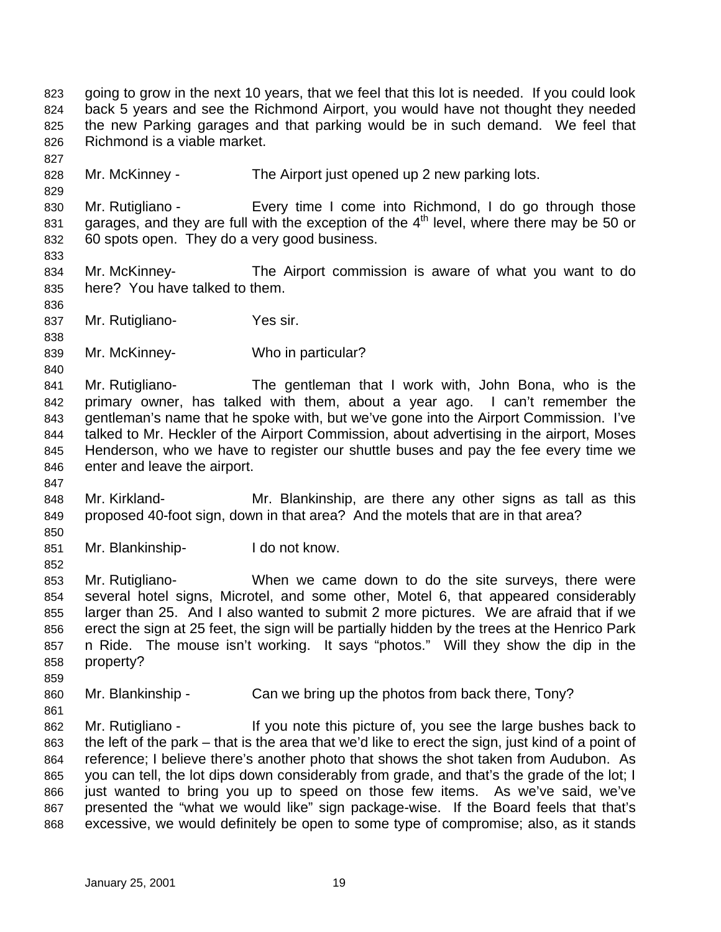going to grow in the next 10 years, that we feel that this lot is needed. If you could look back 5 years and see the Richmond Airport, you would have not thought they needed the new Parking garages and that parking would be in such demand. We feel that Richmond is a viable market. 828 Mr. McKinney - The Airport just opened up 2 new parking lots. 830 Mr. Rutigliano - Every time I come into Richmond, I do go through those 831 garages, and they are full with the exception of the  $4<sup>th</sup>$  level, where there may be 50 or 60 spots open. They do a very good business. Mr. McKinney- The Airport commission is aware of what you want to do here? You have talked to them. Mr. Rutigliano- Yes sir. Mr. McKinney- Who in particular? Mr. Rutigliano- The gentleman that I work with, John Bona, who is the primary owner, has talked with them, about a year ago. I can't remember the gentleman's name that he spoke with, but we've gone into the Airport Commission. I've talked to Mr. Heckler of the Airport Commission, about advertising in the airport, Moses Henderson, who we have to register our shuttle buses and pay the fee every time we enter and leave the airport. Mr. Kirkland- Mr. Blankinship, are there any other signs as tall as this proposed 40-foot sign, down in that area? And the motels that are in that area? Mr. Blankinship- I do not know. Mr. Rutigliano- When we came down to do the site surveys, there were several hotel signs, Microtel, and some other, Motel 6, that appeared considerably larger than 25. And I also wanted to submit 2 more pictures. We are afraid that if we erect the sign at 25 feet, the sign will be partially hidden by the trees at the Henrico Park n Ride. The mouse isn't working. It says "photos." Will they show the dip in the property? 860 Mr. Blankinship - Can we bring up the photos from back there, Tony? Mr. Rutigliano - If you note this picture of, you see the large bushes back to the left of the park – that is the area that we'd like to erect the sign, just kind of a point of reference; I believe there's another photo that shows the shot taken from Audubon. As you can tell, the lot dips down considerably from grade, and that's the grade of the lot; I just wanted to bring you up to speed on those few items. As we've said, we've presented the "what we would like" sign package-wise. If the Board feels that that's excessive, we would definitely be open to some type of compromise; also, as it stands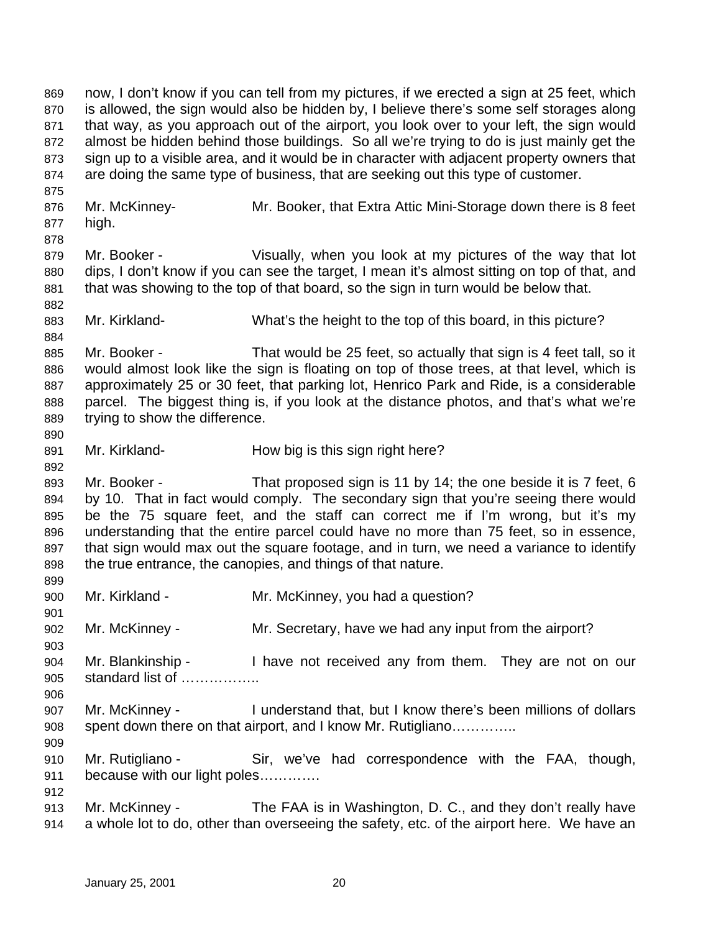now, I don't know if you can tell from my pictures, if we erected a sign at 25 feet, which is allowed, the sign would also be hidden by, I believe there's some self storages along that way, as you approach out of the airport, you look over to your left, the sign would almost be hidden behind those buildings. So all we're trying to do is just mainly get the sign up to a visible area, and it would be in character with adjacent property owners that are doing the same type of business, that are seeking out this type of customer. Mr. McKinney- Mr. Booker, that Extra Attic Mini-Storage down there is 8 feet high. Mr. Booker - Visually, when you look at my pictures of the way that lot dips, I don't know if you can see the target, I mean it's almost sitting on top of that, and that was showing to the top of that board, so the sign in turn would be below that. Mr. Kirkland- What's the height to the top of this board, in this picture? Mr. Booker - That would be 25 feet, so actually that sign is 4 feet tall, so it would almost look like the sign is floating on top of those trees, at that level, which is approximately 25 or 30 feet, that parking lot, Henrico Park and Ride, is a considerable parcel. The biggest thing is, if you look at the distance photos, and that's what we're trying to show the difference. Mr. Kirkland- How big is this sign right here? Mr. Booker - That proposed sign is 11 by 14; the one beside it is 7 feet, 6 by 10. That in fact would comply. The secondary sign that you're seeing there would be the 75 square feet, and the staff can correct me if I'm wrong, but it's my understanding that the entire parcel could have no more than 75 feet, so in essence, that sign would max out the square footage, and in turn, we need a variance to identify the true entrance, the canopies, and things of that nature. Mr. Kirkland - Mr. McKinney, you had a question? Mr. McKinney - Mr. Secretary, have we had any input from the airport? Mr. Blankinship - I have not received any from them. They are not on our standard list of …………….. Mr. McKinney - I understand that, but I know there's been millions of dollars spent down there on that airport, and I know Mr. Rutigliano………….. Mr. Rutigliano - Sir, we've had correspondence with the FAA, though, because with our light poles…………. Mr. McKinney - The FAA is in Washington, D. C., and they don't really have a whole lot to do, other than overseeing the safety, etc. of the airport here. We have an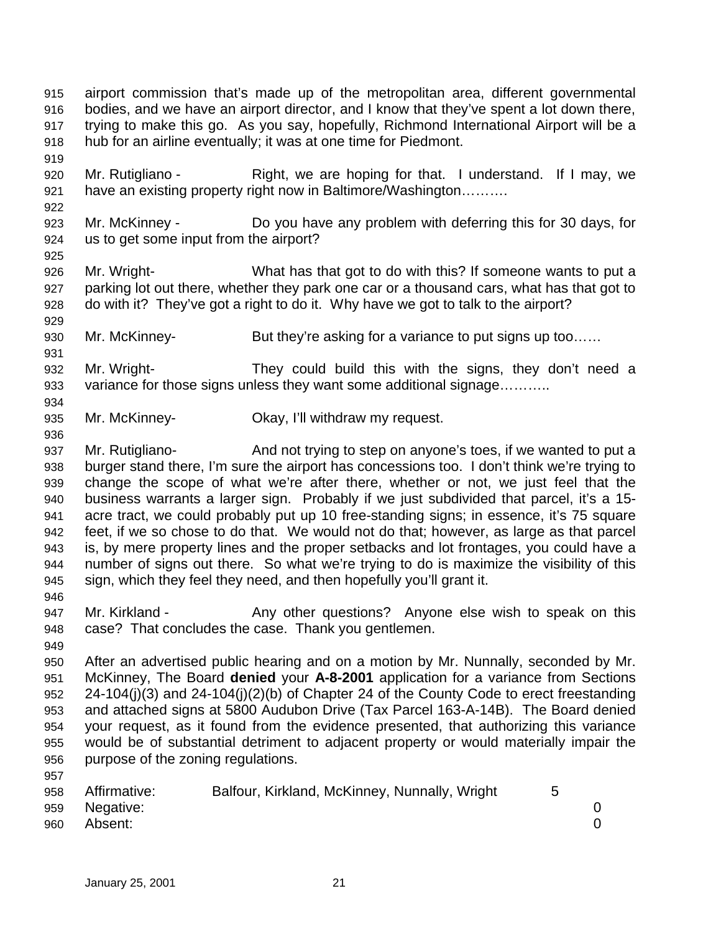airport commission that's made up of the metropolitan area, different governmental bodies, and we have an airport director, and I know that they've spent a lot down there, trying to make this go. As you say, hopefully, Richmond International Airport will be a hub for an airline eventually; it was at one time for Piedmont.

- 920 Mr. Rutigliano Right, we are hoping for that. I understand. If I may, we have an existing property right now in Baltimore/Washington……….
- Mr. McKinney Do you have any problem with deferring this for 30 days, for us to get some input from the airport?
- Mr. Wright- What has that got to do with this? If someone wants to put a parking lot out there, whether they park one car or a thousand cars, what has that got to do with it? They've got a right to do it. Why have we got to talk to the airport?
- 930 Mr. McKinney- But they're asking for a variance to put signs up too......
- Mr. Wright- They could build this with the signs, they don't need a 933 variance for those signs unless they want some additional signage..........
- Mr. McKinney- Okay, I'll withdraw my request.
- Mr. Rutigliano- And not trying to step on anyone's toes, if we wanted to put a burger stand there, I'm sure the airport has concessions too. I don't think we're trying to change the scope of what we're after there, whether or not, we just feel that the business warrants a larger sign. Probably if we just subdivided that parcel, it's a 15- acre tract, we could probably put up 10 free-standing signs; in essence, it's 75 square feet, if we so chose to do that. We would not do that; however, as large as that parcel is, by mere property lines and the proper setbacks and lot frontages, you could have a number of signs out there. So what we're trying to do is maximize the visibility of this sign, which they feel they need, and then hopefully you'll grant it.
- 

- 947 Mr. Kirkland Any other questions? Anyone else wish to speak on this case? That concludes the case. Thank you gentlemen.
- 
- After an advertised public hearing and on a motion by Mr. Nunnally, seconded by Mr. McKinney, The Board **denied** your **A-8-2001** application for a variance from Sections 24-104(j)(3) and 24-104(j)(2)(b) of Chapter 24 of the County Code to erect freestanding and attached signs at 5800 Audubon Drive (Tax Parcel 163-A-14B). The Board denied your request, as it found from the evidence presented, that authorizing this variance would be of substantial detriment to adjacent property or would materially impair the purpose of the zoning regulations.

| 958 | Affirmative: | Balfour, Kirkland, McKinney, Nunnally, Wright |  |
|-----|--------------|-----------------------------------------------|--|
| 959 | Negative:    |                                               |  |
| 960 | Absent:      |                                               |  |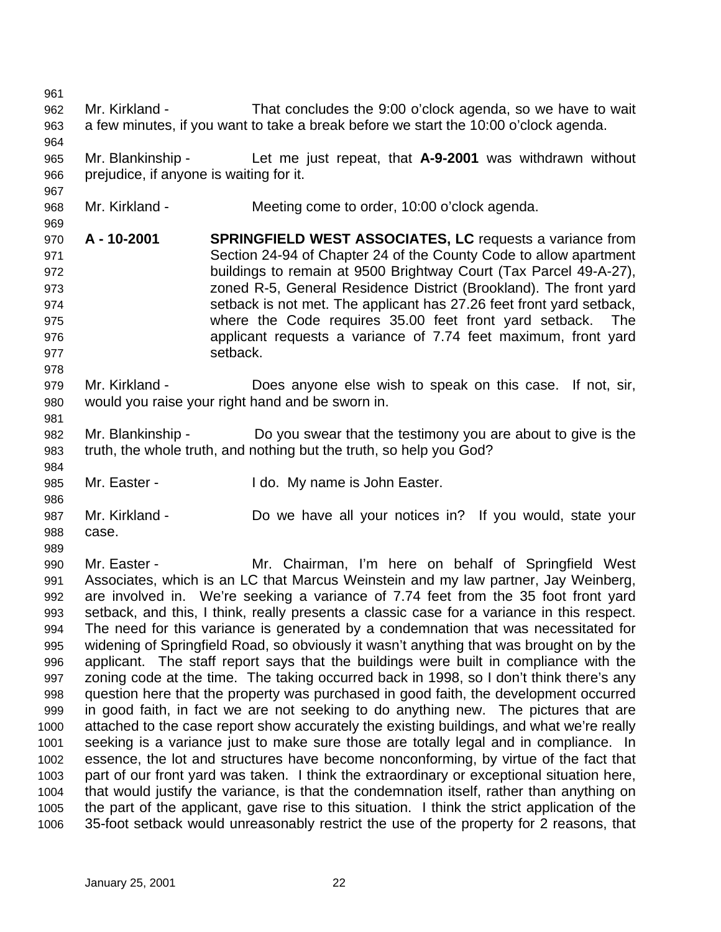Mr. Kirkland - That concludes the 9:00 o'clock agenda, so we have to wait a few minutes, if you want to take a break before we start the 10:00 o'clock agenda. Mr. Blankinship - Let me just repeat, that **A-9-2001** was withdrawn without prejudice, if anyone is waiting for it. Mr. Kirkland - Meeting come to order, 10:00 o'clock agenda. **A - 10-2001 SPRINGFIELD WEST ASSOCIATES, LC** requests a variance from Section 24-94 of Chapter 24 of the County Code to allow apartment buildings to remain at 9500 Brightway Court (Tax Parcel 49-A-27), zoned R-5, General Residence District (Brookland). The front yard setback is not met. The applicant has 27.26 feet front yard setback, where the Code requires 35.00 feet front yard setback. The applicant requests a variance of 7.74 feet maximum, front yard 977 setback. Mr. Kirkland - Does anyone else wish to speak on this case. If not, sir, would you raise your right hand and be sworn in. Mr. Blankinship - Do you swear that the testimony you are about to give is the truth, the whole truth, and nothing but the truth, so help you God? Mr. Easter - I do. My name is John Easter. Mr. Kirkland - Do we have all your notices in? If you would, state your case. Mr. Easter - Mr. Chairman, I'm here on behalf of Springfield West Associates, which is an LC that Marcus Weinstein and my law partner, Jay Weinberg, are involved in. We're seeking a variance of 7.74 feet from the 35 foot front yard setback, and this, I think, really presents a classic case for a variance in this respect. The need for this variance is generated by a condemnation that was necessitated for widening of Springfield Road, so obviously it wasn't anything that was brought on by the applicant. The staff report says that the buildings were built in compliance with the zoning code at the time. The taking occurred back in 1998, so I don't think there's any question here that the property was purchased in good faith, the development occurred in good faith, in fact we are not seeking to do anything new. The pictures that are attached to the case report show accurately the existing buildings, and what we're really seeking is a variance just to make sure those are totally legal and in compliance. In essence, the lot and structures have become nonconforming, by virtue of the fact that part of our front yard was taken. I think the extraordinary or exceptional situation here, that would justify the variance, is that the condemnation itself, rather than anything on the part of the applicant, gave rise to this situation. I think the strict application of the 35-foot setback would unreasonably restrict the use of the property for 2 reasons, that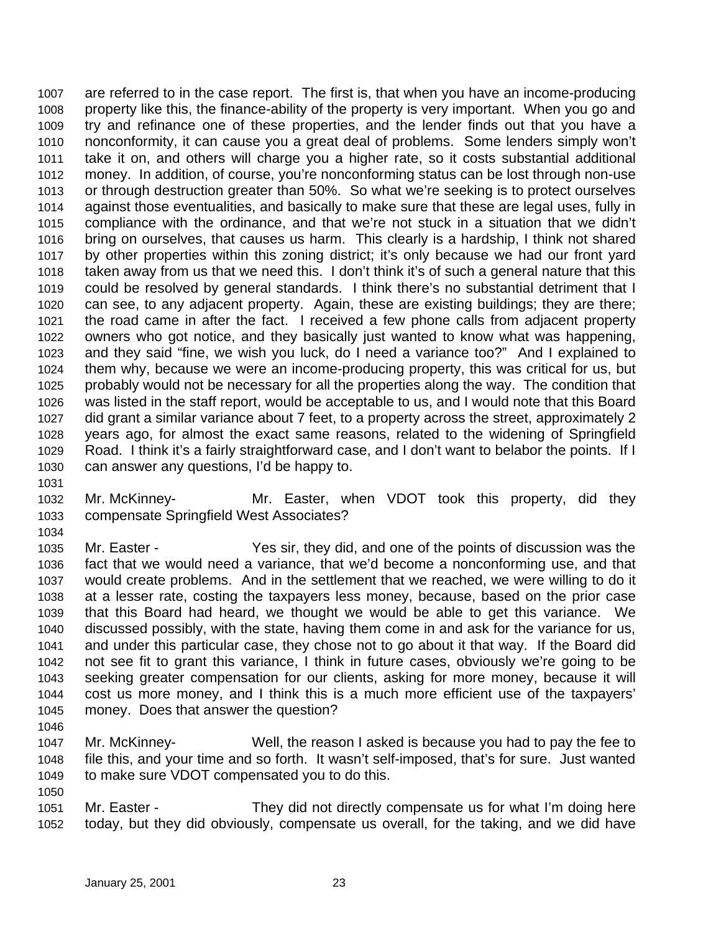are referred to in the case report. The first is, that when you have an income-producing property like this, the finance-ability of the property is very important. When you go and try and refinance one of these properties, and the lender finds out that you have a nonconformity, it can cause you a great deal of problems. Some lenders simply won't take it on, and others will charge you a higher rate, so it costs substantial additional money. In addition, of course, you're nonconforming status can be lost through non-use or through destruction greater than 50%. So what we're seeking is to protect ourselves against those eventualities, and basically to make sure that these are legal uses, fully in compliance with the ordinance, and that we're not stuck in a situation that we didn't bring on ourselves, that causes us harm. This clearly is a hardship, I think not shared by other properties within this zoning district; it's only because we had our front yard taken away from us that we need this. I don't think it's of such a general nature that this could be resolved by general standards. I think there's no substantial detriment that I can see, to any adjacent property. Again, these are existing buildings; they are there; the road came in after the fact. I received a few phone calls from adjacent property owners who got notice, and they basically just wanted to know what was happening, and they said "fine, we wish you luck, do I need a variance too?" And I explained to them why, because we were an income-producing property, this was critical for us, but probably would not be necessary for all the properties along the way. The condition that was listed in the staff report, would be acceptable to us, and I would note that this Board did grant a similar variance about 7 feet, to a property across the street, approximately 2 years ago, for almost the exact same reasons, related to the widening of Springfield Road. I think it's a fairly straightforward case, and I don't want to belabor the points. If I can answer any questions, I'd be happy to.

- Mr. McKinney- Mr. Easter, when VDOT took this property, did they compensate Springfield West Associates?
- Mr. Easter - Yes sir, they did, and one of the points of discussion was the fact that we would need a variance, that we'd become a nonconforming use, and that would create problems. And in the settlement that we reached, we were willing to do it at a lesser rate, costing the taxpayers less money, because, based on the prior case that this Board had heard, we thought we would be able to get this variance. We discussed possibly, with the state, having them come in and ask for the variance for us, and under this particular case, they chose not to go about it that way. If the Board did not see fit to grant this variance, I think in future cases, obviously we're going to be seeking greater compensation for our clients, asking for more money, because it will cost us more money, and I think this is a much more efficient use of the taxpayers' money. Does that answer the question?
- 

- Mr. McKinney- Well, the reason I asked is because you had to pay the fee to file this, and your time and so forth. It wasn't self-imposed, that's for sure. Just wanted to make sure VDOT compensated you to do this.
- Mr. Easter They did not directly compensate us for what I'm doing here today, but they did obviously, compensate us overall, for the taking, and we did have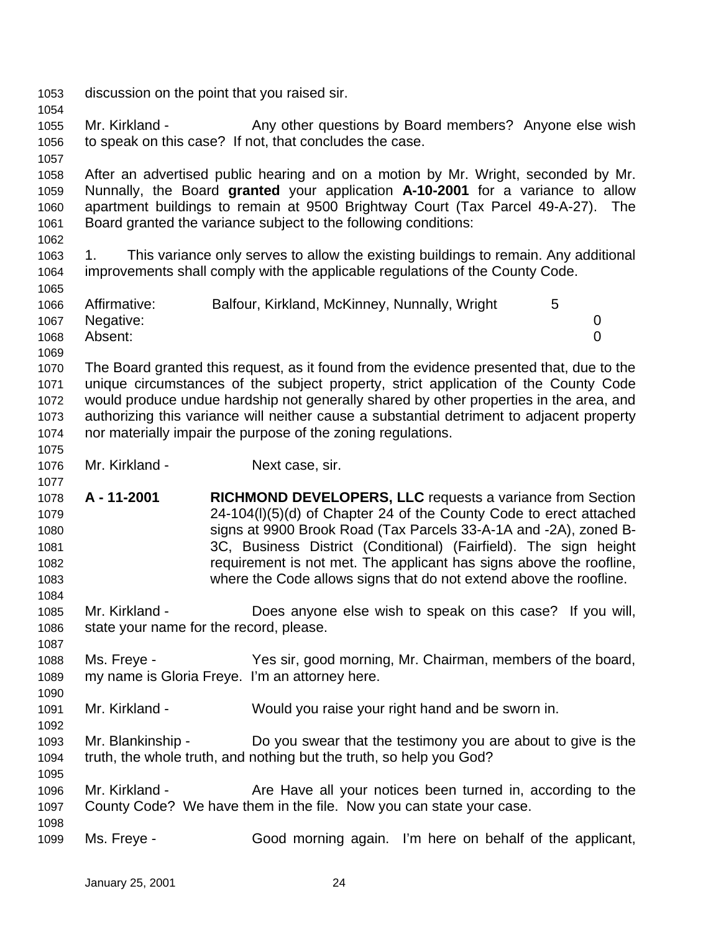discussion on the point that you raised sir. 1055 Mr. Kirkland - Any other questions by Board members? Anyone else wish to speak on this case? If not, that concludes the case. After an advertised public hearing and on a motion by Mr. Wright, seconded by Mr. Nunnally, the Board **granted** your application **A-10-2001** for a variance to allow apartment buildings to remain at 9500 Brightway Court (Tax Parcel 49-A-27). The Board granted the variance subject to the following conditions: 1. This variance only serves to allow the existing buildings to remain. Any additional improvements shall comply with the applicable regulations of the County Code. 1066 Affirmative: Balfour, Kirkland, McKinney, Nunnally, Wright 5 Negative: 0 Absent: 0 The Board granted this request, as it found from the evidence presented that, due to the unique circumstances of the subject property, strict application of the County Code would produce undue hardship not generally shared by other properties in the area, and authorizing this variance will neither cause a substantial detriment to adjacent property nor materially impair the purpose of the zoning regulations. Mr. Kirkland - Next case, sir. **A - 11-2001 RICHMOND DEVELOPERS, LLC** requests a variance from Section 24-104(l)(5)(d) of Chapter 24 of the County Code to erect attached signs at 9900 Brook Road (Tax Parcels 33-A-1A and -2A), zoned B- 3C, Business District (Conditional) (Fairfield). The sign height requirement is not met. The applicant has signs above the roofline, where the Code allows signs that do not extend above the roofline. Mr. Kirkland - Does anyone else wish to speak on this case? If you will, state your name for the record, please. Ms. Freye - Yes sir, good morning, Mr. Chairman, members of the board, my name is Gloria Freye. I'm an attorney here. Mr. Kirkland - Would you raise your right hand and be sworn in. Mr. Blankinship - Do you swear that the testimony you are about to give is the truth, the whole truth, and nothing but the truth, so help you God? 1096 Mr. Kirkland - Are Have all your notices been turned in, according to the County Code? We have them in the file. Now you can state your case. Ms. Freye - Good morning again. I'm here on behalf of the applicant,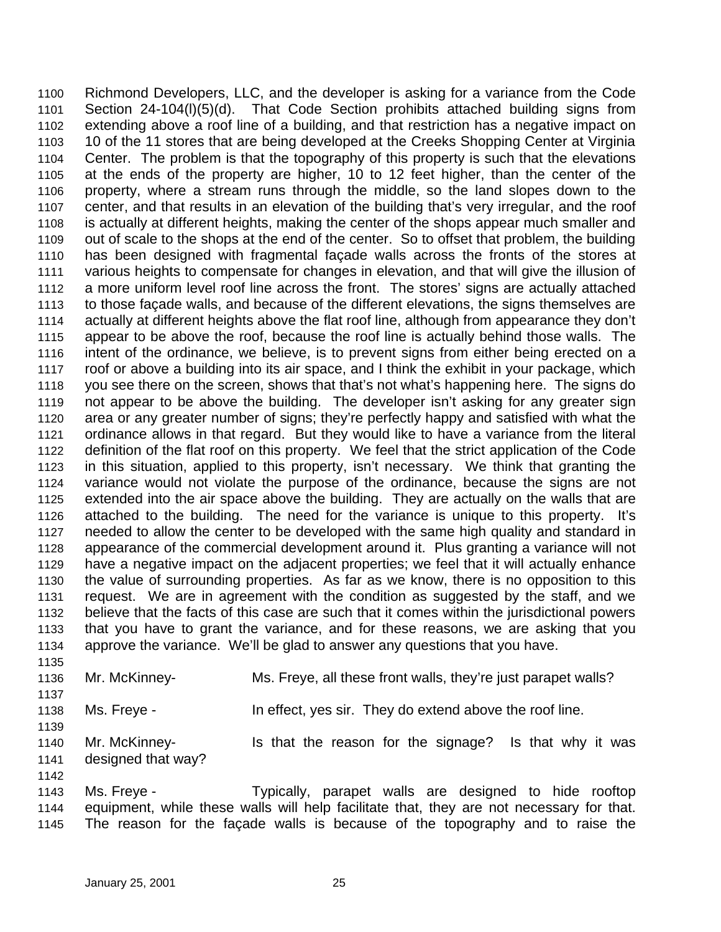Richmond Developers, LLC, and the developer is asking for a variance from the Code Section 24-104(l)(5)(d). That Code Section prohibits attached building signs from extending above a roof line of a building, and that restriction has a negative impact on 10 of the 11 stores that are being developed at the Creeks Shopping Center at Virginia Center. The problem is that the topography of this property is such that the elevations at the ends of the property are higher, 10 to 12 feet higher, than the center of the property, where a stream runs through the middle, so the land slopes down to the center, and that results in an elevation of the building that's very irregular, and the roof is actually at different heights, making the center of the shops appear much smaller and out of scale to the shops at the end of the center. So to offset that problem, the building has been designed with fragmental façade walls across the fronts of the stores at various heights to compensate for changes in elevation, and that will give the illusion of a more uniform level roof line across the front. The stores' signs are actually attached to those façade walls, and because of the different elevations, the signs themselves are actually at different heights above the flat roof line, although from appearance they don't appear to be above the roof, because the roof line is actually behind those walls. The intent of the ordinance, we believe, is to prevent signs from either being erected on a roof or above a building into its air space, and I think the exhibit in your package, which you see there on the screen, shows that that's not what's happening here. The signs do not appear to be above the building. The developer isn't asking for any greater sign area or any greater number of signs; they're perfectly happy and satisfied with what the ordinance allows in that regard. But they would like to have a variance from the literal definition of the flat roof on this property. We feel that the strict application of the Code in this situation, applied to this property, isn't necessary. We think that granting the variance would not violate the purpose of the ordinance, because the signs are not extended into the air space above the building. They are actually on the walls that are attached to the building. The need for the variance is unique to this property. It's needed to allow the center to be developed with the same high quality and standard in appearance of the commercial development around it. Plus granting a variance will not have a negative impact on the adjacent properties; we feel that it will actually enhance the value of surrounding properties. As far as we know, there is no opposition to this request. We are in agreement with the condition as suggested by the staff, and we believe that the facts of this case are such that it comes within the jurisdictional powers that you have to grant the variance, and for these reasons, we are asking that you approve the variance. We'll be glad to answer any questions that you have. 

 Mr. McKinney- Ms. Freye, all these front walls, they're just parapet walls? 

Ms. Freye - In effect, yes sir. They do extend above the roof line.

1140 Mr. McKinney- Is that the reason for the signage? Is that why it was designed that way?

 Ms. Freye - Typically, parapet walls are designed to hide rooftop equipment, while these walls will help facilitate that, they are not necessary for that. The reason for the façade walls is because of the topography and to raise the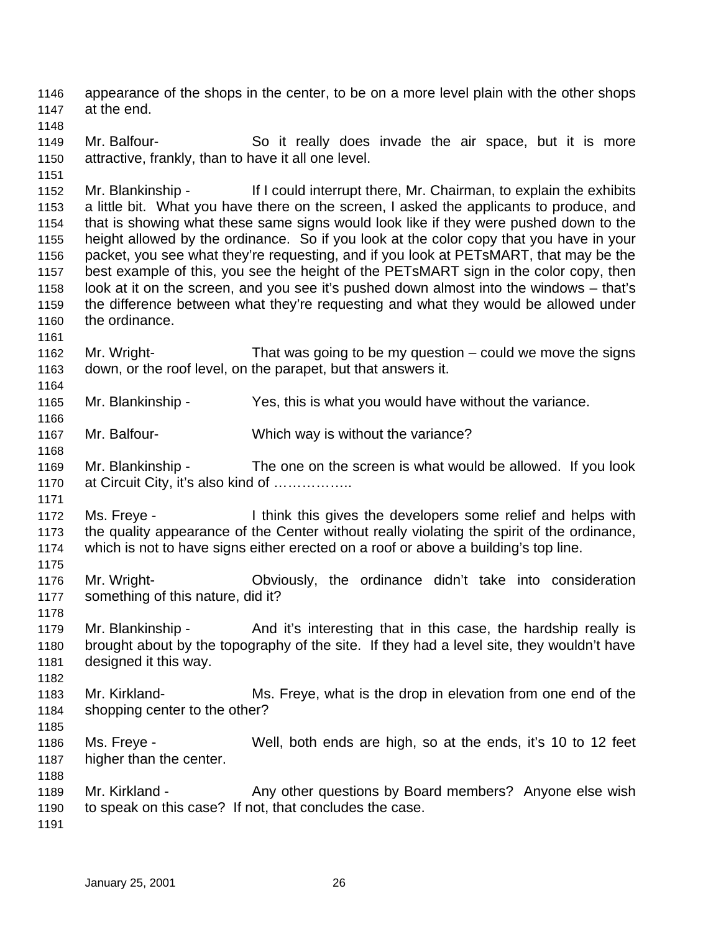appearance of the shops in the center, to be on a more level plain with the other shops at the end. 

 Mr. Balfour- So it really does invade the air space, but it is more attractive, frankly, than to have it all one level.

 Mr. Blankinship - If I could interrupt there, Mr. Chairman, to explain the exhibits a little bit. What you have there on the screen, I asked the applicants to produce, and that is showing what these same signs would look like if they were pushed down to the height allowed by the ordinance. So if you look at the color copy that you have in your packet, you see what they're requesting, and if you look at PETsMART, that may be the best example of this, you see the height of the PETsMART sign in the color copy, then look at it on the screen, and you see it's pushed down almost into the windows – that's the difference between what they're requesting and what they would be allowed under the ordinance.

 Mr. Wright- That was going to be my question – could we move the signs down, or the roof level, on the parapet, but that answers it.

Mr. Blankinship - Yes, this is what you would have without the variance.

Mr. Balfour- Which way is without the variance?

 Mr. Blankinship - The one on the screen is what would be allowed. If you look 1170 at Circuit City, it's also kind of .................

 Ms. Freye - I think this gives the developers some relief and helps with the quality appearance of the Center without really violating the spirit of the ordinance, which is not to have signs either erected on a roof or above a building's top line.

 Mr. Wright- Obviously, the ordinance didn't take into consideration something of this nature, did it?

1179 Mr. Blankinship - And it's interesting that in this case, the hardship really is brought about by the topography of the site. If they had a level site, they wouldn't have designed it this way.

 Mr. Kirkland- Ms. Freye, what is the drop in elevation from one end of the shopping center to the other? 

- Ms. Freye Well, both ends are high, so at the ends, it's 10 to 12 feet higher than the center.
- 1189 Mr. Kirkland Any other questions by Board members? Anyone else wish to speak on this case? If not, that concludes the case.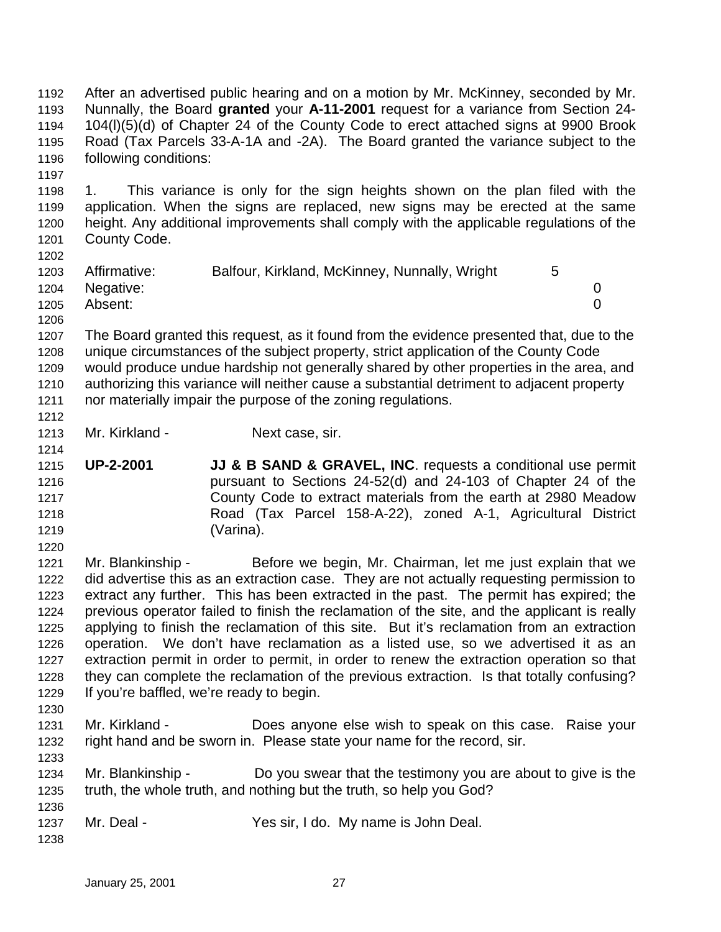After an advertised public hearing and on a motion by Mr. McKinney, seconded by Mr. Nunnally, the Board **granted** your **A-11-2001** request for a variance from Section 24- 104(l)(5)(d) of Chapter 24 of the County Code to erect attached signs at 9900 Brook Road (Tax Parcels 33-A-1A and -2A). The Board granted the variance subject to the following conditions:

 1. This variance is only for the sign heights shown on the plan filed with the application. When the signs are replaced, new signs may be erected at the same height. Any additional improvements shall comply with the applicable regulations of the County Code. 

| ---- |                |                                               |             |  |
|------|----------------|-----------------------------------------------|-------------|--|
| 1203 | Affirmative:   | Balfour, Kirkland, McKinney, Nunnally, Wright | $5^{\circ}$ |  |
|      | 1204 Negative: |                                               |             |  |
| 1205 | Absent:        |                                               |             |  |
| 1206 |                |                                               |             |  |

 The Board granted this request, as it found from the evidence presented that, due to the unique circumstances of the subject property, strict application of the County Code would produce undue hardship not generally shared by other properties in the area, and authorizing this variance will neither cause a substantial detriment to adjacent property nor materially impair the purpose of the zoning regulations.

- Mr. Kirkland Next case, sir.
- **UP-2-2001 JJ & B SAND & GRAVEL, INC**. requests a conditional use permit pursuant to Sections 24-52(d) and 24-103 of Chapter 24 of the County Code to extract materials from the earth at 2980 Meadow Road (Tax Parcel 158-A-22), zoned A-1, Agricultural District (Varina).

 Mr. Blankinship - Before we begin, Mr. Chairman, let me just explain that we did advertise this as an extraction case. They are not actually requesting permission to extract any further. This has been extracted in the past. The permit has expired; the previous operator failed to finish the reclamation of the site, and the applicant is really applying to finish the reclamation of this site. But it's reclamation from an extraction operation. We don't have reclamation as a listed use, so we advertised it as an extraction permit in order to permit, in order to renew the extraction operation so that they can complete the reclamation of the previous extraction. Is that totally confusing? If you're baffled, we're ready to begin.

- Mr. Kirkland Does anyone else wish to speak on this case. Raise your right hand and be sworn in. Please state your name for the record, sir.
- Mr. Blankinship Do you swear that the testimony you are about to give is the truth, the whole truth, and nothing but the truth, so help you God?
- Mr. Deal Yes sir, I do. My name is John Deal.
-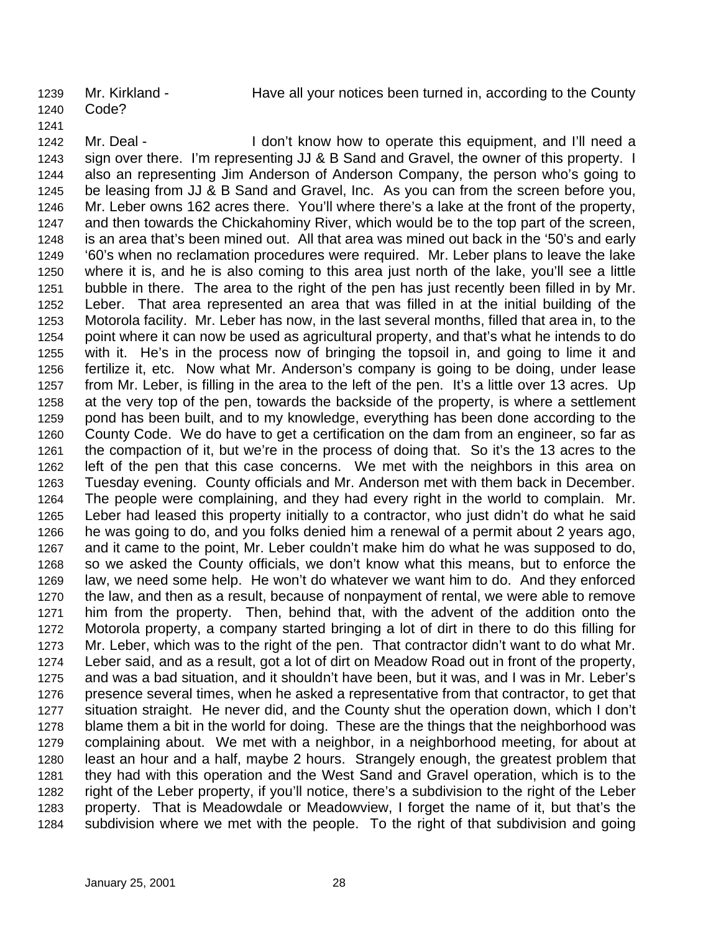Mr. Kirkland - Have all your notices been turned in, according to the County

- Code?
- 

1242 Mr. Deal - I don't know how to operate this equipment, and I'll need a sign over there. I'm representing JJ & B Sand and Gravel, the owner of this property. I also an representing Jim Anderson of Anderson Company, the person who's going to be leasing from JJ & B Sand and Gravel, Inc. As you can from the screen before you, Mr. Leber owns 162 acres there. You'll where there's a lake at the front of the property, and then towards the Chickahominy River, which would be to the top part of the screen, is an area that's been mined out. All that area was mined out back in the '50's and early '60's when no reclamation procedures were required. Mr. Leber plans to leave the lake where it is, and he is also coming to this area just north of the lake, you'll see a little bubble in there. The area to the right of the pen has just recently been filled in by Mr. Leber. That area represented an area that was filled in at the initial building of the Motorola facility. Mr. Leber has now, in the last several months, filled that area in, to the point where it can now be used as agricultural property, and that's what he intends to do with it. He's in the process now of bringing the topsoil in, and going to lime it and fertilize it, etc. Now what Mr. Anderson's company is going to be doing, under lease from Mr. Leber, is filling in the area to the left of the pen. It's a little over 13 acres. Up at the very top of the pen, towards the backside of the property, is where a settlement pond has been built, and to my knowledge, everything has been done according to the County Code. We do have to get a certification on the dam from an engineer, so far as the compaction of it, but we're in the process of doing that. So it's the 13 acres to the left of the pen that this case concerns. We met with the neighbors in this area on Tuesday evening. County officials and Mr. Anderson met with them back in December. The people were complaining, and they had every right in the world to complain. Mr. Leber had leased this property initially to a contractor, who just didn't do what he said he was going to do, and you folks denied him a renewal of a permit about 2 years ago, and it came to the point, Mr. Leber couldn't make him do what he was supposed to do, so we asked the County officials, we don't know what this means, but to enforce the law, we need some help. He won't do whatever we want him to do. And they enforced the law, and then as a result, because of nonpayment of rental, we were able to remove him from the property. Then, behind that, with the advent of the addition onto the Motorola property, a company started bringing a lot of dirt in there to do this filling for Mr. Leber, which was to the right of the pen. That contractor didn't want to do what Mr. Leber said, and as a result, got a lot of dirt on Meadow Road out in front of the property, and was a bad situation, and it shouldn't have been, but it was, and I was in Mr. Leber's presence several times, when he asked a representative from that contractor, to get that situation straight. He never did, and the County shut the operation down, which I don't blame them a bit in the world for doing. These are the things that the neighborhood was complaining about. We met with a neighbor, in a neighborhood meeting, for about at least an hour and a half, maybe 2 hours. Strangely enough, the greatest problem that they had with this operation and the West Sand and Gravel operation, which is to the right of the Leber property, if you'll notice, there's a subdivision to the right of the Leber property. That is Meadowdale or Meadowview, I forget the name of it, but that's the subdivision where we met with the people. To the right of that subdivision and going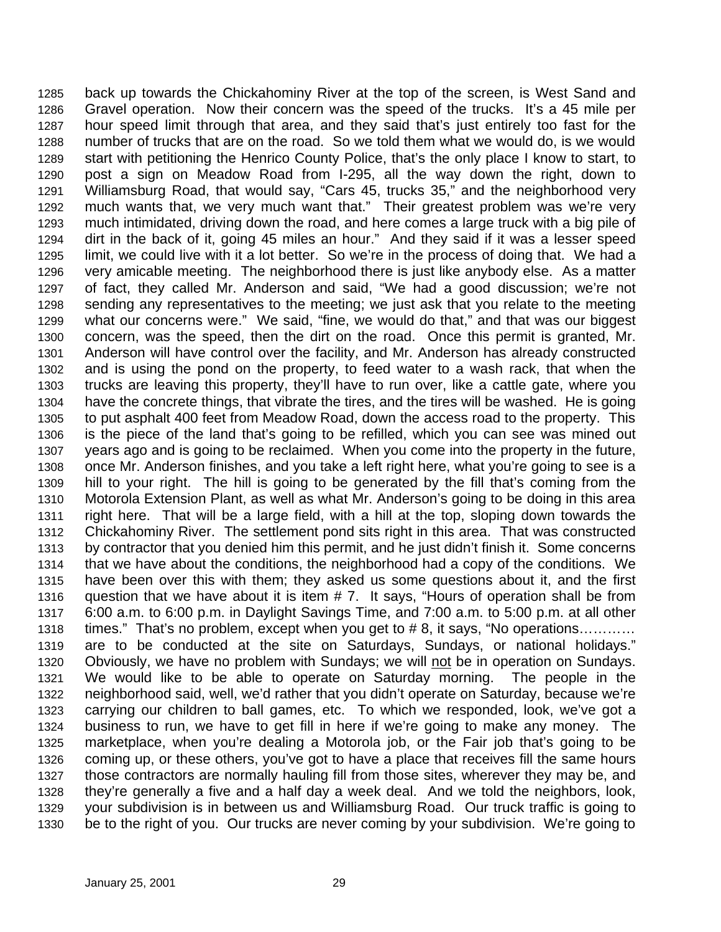back up towards the Chickahominy River at the top of the screen, is West Sand and Gravel operation. Now their concern was the speed of the trucks. It's a 45 mile per hour speed limit through that area, and they said that's just entirely too fast for the number of trucks that are on the road. So we told them what we would do, is we would start with petitioning the Henrico County Police, that's the only place I know to start, to post a sign on Meadow Road from I-295, all the way down the right, down to Williamsburg Road, that would say, "Cars 45, trucks 35," and the neighborhood very much wants that, we very much want that." Their greatest problem was we're very much intimidated, driving down the road, and here comes a large truck with a big pile of dirt in the back of it, going 45 miles an hour." And they said if it was a lesser speed limit, we could live with it a lot better. So we're in the process of doing that. We had a very amicable meeting. The neighborhood there is just like anybody else. As a matter of fact, they called Mr. Anderson and said, "We had a good discussion; we're not sending any representatives to the meeting; we just ask that you relate to the meeting what our concerns were." We said, "fine, we would do that," and that was our biggest concern, was the speed, then the dirt on the road. Once this permit is granted, Mr. Anderson will have control over the facility, and Mr. Anderson has already constructed and is using the pond on the property, to feed water to a wash rack, that when the trucks are leaving this property, they'll have to run over, like a cattle gate, where you have the concrete things, that vibrate the tires, and the tires will be washed. He is going to put asphalt 400 feet from Meadow Road, down the access road to the property. This is the piece of the land that's going to be refilled, which you can see was mined out years ago and is going to be reclaimed. When you come into the property in the future, once Mr. Anderson finishes, and you take a left right here, what you're going to see is a hill to your right. The hill is going to be generated by the fill that's coming from the Motorola Extension Plant, as well as what Mr. Anderson's going to be doing in this area right here. That will be a large field, with a hill at the top, sloping down towards the Chickahominy River. The settlement pond sits right in this area. That was constructed by contractor that you denied him this permit, and he just didn't finish it. Some concerns that we have about the conditions, the neighborhood had a copy of the conditions. We have been over this with them; they asked us some questions about it, and the first question that we have about it is item # 7. It says, "Hours of operation shall be from 6:00 a.m. to 6:00 p.m. in Daylight Savings Time, and 7:00 a.m. to 5:00 p.m. at all other times." That's no problem, except when you get to # 8, it says, "No operations………… are to be conducted at the site on Saturdays, Sundays, or national holidays." Obviously, we have no problem with Sundays; we will not be in operation on Sundays. We would like to be able to operate on Saturday morning. The people in the neighborhood said, well, we'd rather that you didn't operate on Saturday, because we're carrying our children to ball games, etc. To which we responded, look, we've got a business to run, we have to get fill in here if we're going to make any money. The marketplace, when you're dealing a Motorola job, or the Fair job that's going to be coming up, or these others, you've got to have a place that receives fill the same hours those contractors are normally hauling fill from those sites, wherever they may be, and they're generally a five and a half day a week deal. And we told the neighbors, look, your subdivision is in between us and Williamsburg Road. Our truck traffic is going to be to the right of you. Our trucks are never coming by your subdivision. We're going to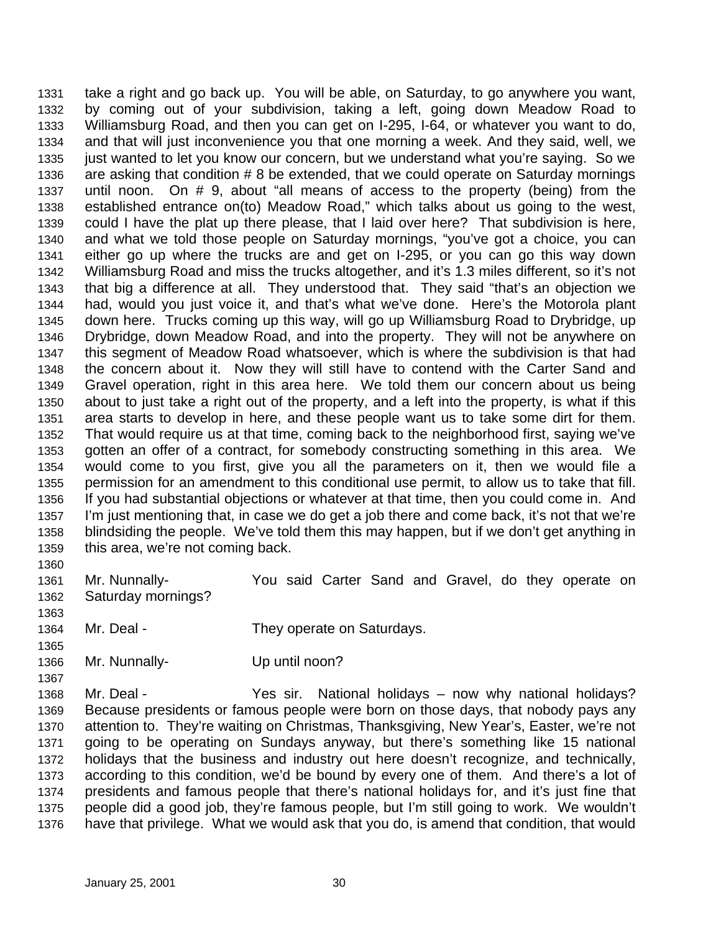take a right and go back up. You will be able, on Saturday, to go anywhere you want, by coming out of your subdivision, taking a left, going down Meadow Road to Williamsburg Road, and then you can get on I-295, I-64, or whatever you want to do, and that will just inconvenience you that one morning a week. And they said, well, we just wanted to let you know our concern, but we understand what you're saying. So we are asking that condition # 8 be extended, that we could operate on Saturday mornings until noon. On # 9, about "all means of access to the property (being) from the established entrance on(to) Meadow Road," which talks about us going to the west, could I have the plat up there please, that I laid over here? That subdivision is here, and what we told those people on Saturday mornings, "you've got a choice, you can either go up where the trucks are and get on I-295, or you can go this way down Williamsburg Road and miss the trucks altogether, and it's 1.3 miles different, so it's not that big a difference at all. They understood that. They said "that's an objection we had, would you just voice it, and that's what we've done. Here's the Motorola plant down here. Trucks coming up this way, will go up Williamsburg Road to Drybridge, up Drybridge, down Meadow Road, and into the property. They will not be anywhere on this segment of Meadow Road whatsoever, which is where the subdivision is that had the concern about it. Now they will still have to contend with the Carter Sand and Gravel operation, right in this area here. We told them our concern about us being about to just take a right out of the property, and a left into the property, is what if this area starts to develop in here, and these people want us to take some dirt for them. That would require us at that time, coming back to the neighborhood first, saying we've gotten an offer of a contract, for somebody constructing something in this area. We would come to you first, give you all the parameters on it, then we would file a permission for an amendment to this conditional use permit, to allow us to take that fill. If you had substantial objections or whatever at that time, then you could come in. And I'm just mentioning that, in case we do get a job there and come back, it's not that we're blindsiding the people. We've told them this may happen, but if we don't get anything in this area, we're not coming back. 

- Mr. Nunnally- You said Carter Sand and Gravel, do they operate on Saturday mornings?
- 

1364 Mr. Deal - They operate on Saturdays.

Mr. Nunnally- Up until noon?

 Mr. Deal - Yes sir. National holidays – now why national holidays? Because presidents or famous people were born on those days, that nobody pays any attention to. They're waiting on Christmas, Thanksgiving, New Year's, Easter, we're not going to be operating on Sundays anyway, but there's something like 15 national holidays that the business and industry out here doesn't recognize, and technically, according to this condition, we'd be bound by every one of them. And there's a lot of presidents and famous people that there's national holidays for, and it's just fine that people did a good job, they're famous people, but I'm still going to work. We wouldn't have that privilege. What we would ask that you do, is amend that condition, that would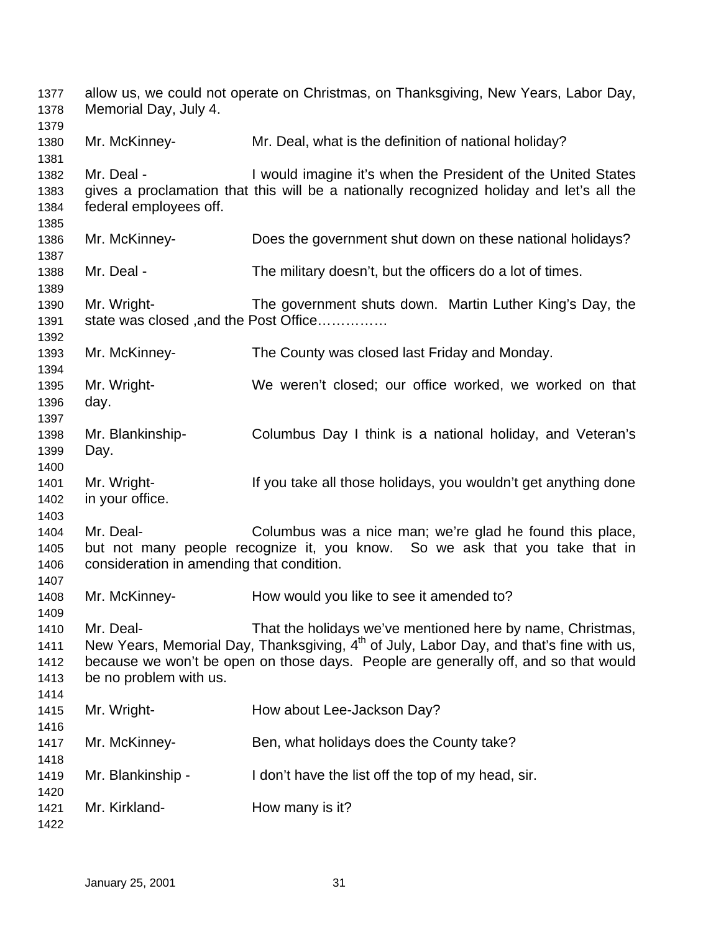| 1377<br>1378                         | Memorial Day, July 4.                                  | allow us, we could not operate on Christmas, on Thanksgiving, New Years, Labor Day,                                                                                                                                                                      |
|--------------------------------------|--------------------------------------------------------|----------------------------------------------------------------------------------------------------------------------------------------------------------------------------------------------------------------------------------------------------------|
| 1379<br>1380<br>1381                 | Mr. McKinney-                                          | Mr. Deal, what is the definition of national holiday?                                                                                                                                                                                                    |
| 1382<br>1383<br>1384<br>1385         | Mr. Deal -<br>federal employees off.                   | I would imagine it's when the President of the United States<br>gives a proclamation that this will be a nationally recognized holiday and let's all the                                                                                                 |
| 1386<br>1387                         | Mr. McKinney-                                          | Does the government shut down on these national holidays?                                                                                                                                                                                                |
| 1388<br>1389                         | Mr. Deal -                                             | The military doesn't, but the officers do a lot of times.                                                                                                                                                                                                |
| 1390<br>1391<br>1392                 | Mr. Wright-<br>state was closed, and the Post Office   | The government shuts down. Martin Luther King's Day, the                                                                                                                                                                                                 |
| 1393<br>1394                         | Mr. McKinney-                                          | The County was closed last Friday and Monday.                                                                                                                                                                                                            |
| 1395<br>1396<br>1397                 | Mr. Wright-<br>day.                                    | We weren't closed; our office worked, we worked on that                                                                                                                                                                                                  |
| 1398<br>1399<br>1400                 | Mr. Blankinship-<br>Day.                               | Columbus Day I think is a national holiday, and Veteran's                                                                                                                                                                                                |
| 1401<br>1402<br>1403                 | Mr. Wright-<br>in your office.                         | If you take all those holidays, you wouldn't get anything done                                                                                                                                                                                           |
| 1404<br>1405<br>1406<br>1407         | Mr. Deal-<br>consideration in amending that condition. | Columbus was a nice man; we're glad he found this place,<br>but not many people recognize it, you know. So we ask that you take that in                                                                                                                  |
| 1408<br>1409                         | Mr. McKinney-                                          | How would you like to see it amended to?                                                                                                                                                                                                                 |
| 1410<br>1411<br>1412<br>1413<br>1414 | Mr. Deal-<br>be no problem with us.                    | That the holidays we've mentioned here by name, Christmas,<br>New Years, Memorial Day, Thanksgiving, 4 <sup>th</sup> of July, Labor Day, and that's fine with us,<br>because we won't be open on those days. People are generally off, and so that would |
| 1415<br>1416                         | Mr. Wright-                                            | How about Lee-Jackson Day?                                                                                                                                                                                                                               |
| 1417<br>1418                         | Mr. McKinney-                                          | Ben, what holidays does the County take?                                                                                                                                                                                                                 |
| 1419<br>1420                         | Mr. Blankinship -                                      | I don't have the list off the top of my head, sir.                                                                                                                                                                                                       |
| 1421<br>1422                         | Mr. Kirkland-                                          | How many is it?                                                                                                                                                                                                                                          |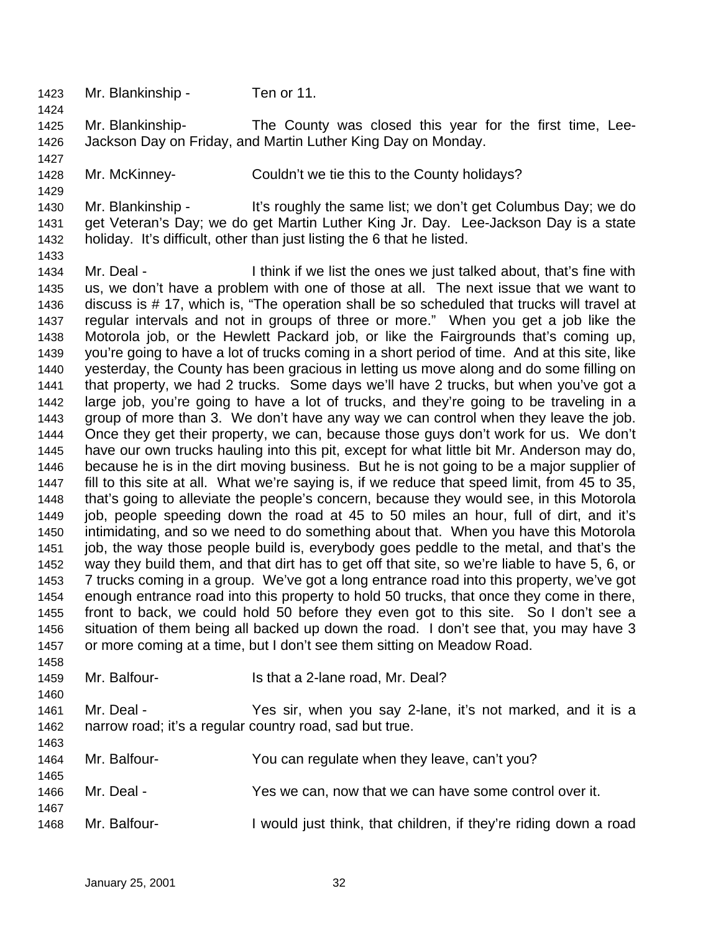Mr. Blankinship - Ten or 11.

 Mr. Blankinship- The County was closed this year for the first time, Lee-Jackson Day on Friday, and Martin Luther King Day on Monday.

Mr. McKinney- Couldn't we tie this to the County holidays?

 Mr. Blankinship - It's roughly the same list; we don't get Columbus Day; we do get Veteran's Day; we do get Martin Luther King Jr. Day. Lee-Jackson Day is a state holiday. It's difficult, other than just listing the 6 that he listed.

 Mr. Deal - I think if we list the ones we just talked about, that's fine with us, we don't have a problem with one of those at all. The next issue that we want to discuss is # 17, which is, "The operation shall be so scheduled that trucks will travel at regular intervals and not in groups of three or more." When you get a job like the Motorola job, or the Hewlett Packard job, or like the Fairgrounds that's coming up, you're going to have a lot of trucks coming in a short period of time. And at this site, like yesterday, the County has been gracious in letting us move along and do some filling on that property, we had 2 trucks. Some days we'll have 2 trucks, but when you've got a large job, you're going to have a lot of trucks, and they're going to be traveling in a group of more than 3. We don't have any way we can control when they leave the job. Once they get their property, we can, because those guys don't work for us. We don't have our own trucks hauling into this pit, except for what little bit Mr. Anderson may do, because he is in the dirt moving business. But he is not going to be a major supplier of fill to this site at all. What we're saying is, if we reduce that speed limit, from 45 to 35, that's going to alleviate the people's concern, because they would see, in this Motorola job, people speeding down the road at 45 to 50 miles an hour, full of dirt, and it's intimidating, and so we need to do something about that. When you have this Motorola job, the way those people build is, everybody goes peddle to the metal, and that's the way they build them, and that dirt has to get off that site, so we're liable to have 5, 6, or 7 trucks coming in a group. We've got a long entrance road into this property, we've got enough entrance road into this property to hold 50 trucks, that once they come in there, front to back, we could hold 50 before they even got to this site. So I don't see a situation of them being all backed up down the road. I don't see that, you may have 3 or more coming at a time, but I don't see them sitting on Meadow Road.

1459 Mr. Balfour-<br>
Is that a 2-lane road, Mr. Deal?

 Mr. Deal - Yes sir, when you say 2-lane, it's not marked, and it is a narrow road; it's a regular country road, sad but true.

| 1464<br>1465 | Mr. Balfour- | You can regulate when they leave, can't you?                   |
|--------------|--------------|----------------------------------------------------------------|
| 1466<br>1467 | Mr. Deal -   | Yes we can, now that we can have some control over it.         |
| 1468         | Mr. Balfour- | would just think, that children, if they're riding down a road |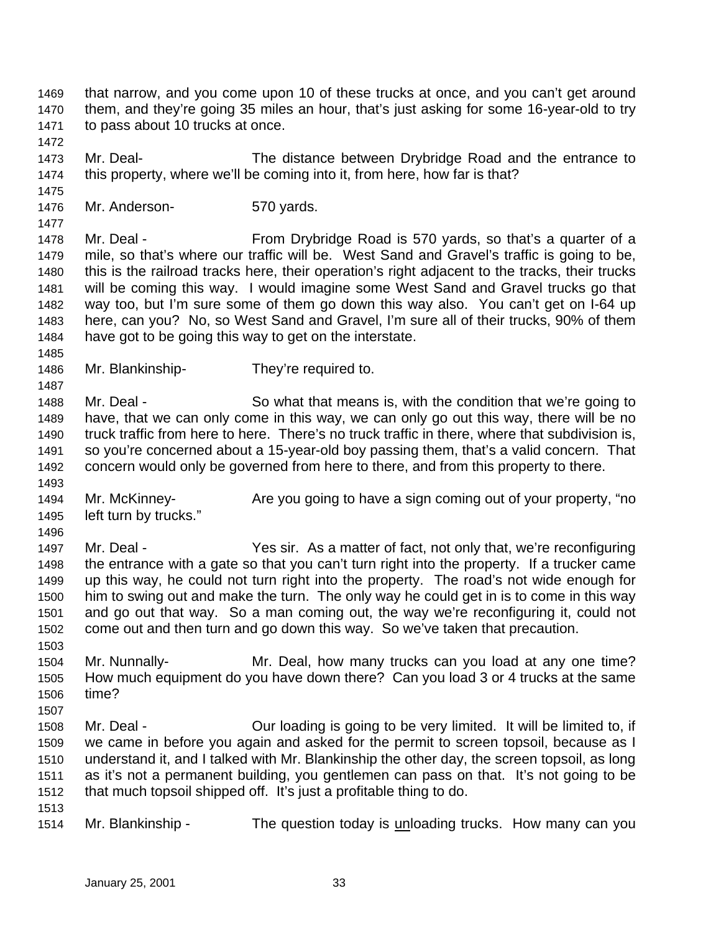that narrow, and you come upon 10 of these trucks at once, and you can't get around them, and they're going 35 miles an hour, that's just asking for some 16-year-old to try to pass about 10 trucks at once.

 Mr. Deal- The distance between Drybridge Road and the entrance to this property, where we'll be coming into it, from here, how far is that?

Mr. Anderson- 570 yards.

1478 Mr. Deal - From Drybridge Road is 570 yards, so that's a quarter of a mile, so that's where our traffic will be. West Sand and Gravel's traffic is going to be, this is the railroad tracks here, their operation's right adjacent to the tracks, their trucks will be coming this way. I would imagine some West Sand and Gravel trucks go that way too, but I'm sure some of them go down this way also. You can't get on I-64 up here, can you? No, so West Sand and Gravel, I'm sure all of their trucks, 90% of them have got to be going this way to get on the interstate.

Mr. Blankinship- They're required to.

1488 Mr. Deal - So what that means is, with the condition that we're going to have, that we can only come in this way, we can only go out this way, there will be no truck traffic from here to here. There's no truck traffic in there, where that subdivision is, so you're concerned about a 15-year-old boy passing them, that's a valid concern. That concern would only be governed from here to there, and from this property to there.

 Mr. McKinney- Are you going to have a sign coming out of your property, "no left turn by trucks."

 Mr. Deal - Yes sir. As a matter of fact, not only that, we're reconfiguring the entrance with a gate so that you can't turn right into the property. If a trucker came up this way, he could not turn right into the property. The road's not wide enough for him to swing out and make the turn. The only way he could get in is to come in this way and go out that way. So a man coming out, the way we're reconfiguring it, could not come out and then turn and go down this way. So we've taken that precaution.

 Mr. Nunnally- Mr. Deal, how many trucks can you load at any one time? How much equipment do you have down there? Can you load 3 or 4 trucks at the same time?

- Mr. Deal Our loading is going to be very limited. It will be limited to, if we came in before you again and asked for the permit to screen topsoil, because as I understand it, and I talked with Mr. Blankinship the other day, the screen topsoil, as long as it's not a permanent building, you gentlemen can pass on that. It's not going to be that much topsoil shipped off. It's just a profitable thing to do.
- 

Mr. Blankinship - The question today is unloading trucks. How many can you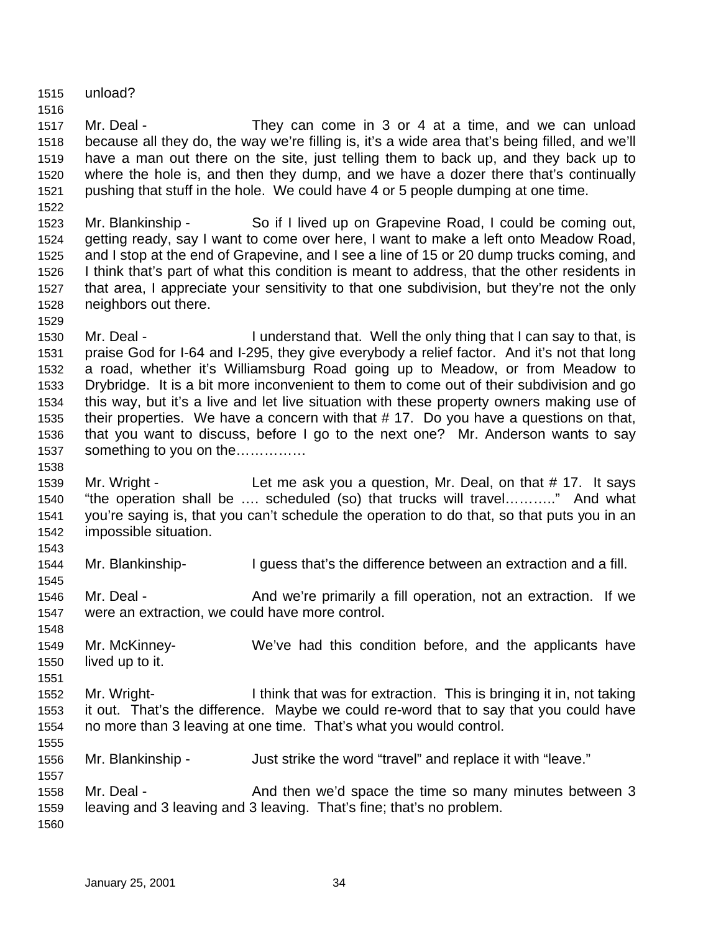unload?

 Mr. Deal - They can come in 3 or 4 at a time, and we can unload because all they do, the way we're filling is, it's a wide area that's being filled, and we'll have a man out there on the site, just telling them to back up, and they back up to where the hole is, and then they dump, and we have a dozer there that's continually pushing that stuff in the hole. We could have 4 or 5 people dumping at one time.

 Mr. Blankinship - So if I lived up on Grapevine Road, I could be coming out, getting ready, say I want to come over here, I want to make a left onto Meadow Road, and I stop at the end of Grapevine, and I see a line of 15 or 20 dump trucks coming, and I think that's part of what this condition is meant to address, that the other residents in that area, I appreciate your sensitivity to that one subdivision, but they're not the only neighbors out there.

 Mr. Deal - I understand that. Well the only thing that I can say to that, is praise God for I-64 and I-295, they give everybody a relief factor. And it's not that long a road, whether it's Williamsburg Road going up to Meadow, or from Meadow to Drybridge. It is a bit more inconvenient to them to come out of their subdivision and go this way, but it's a live and let live situation with these property owners making use of their properties. We have a concern with that # 17. Do you have a questions on that, that you want to discuss, before I go to the next one? Mr. Anderson wants to say something to you on the……………

1539 Mr. Wright - Let me ask you a question, Mr. Deal, on that # 17. It says "the operation shall be …. scheduled (so) that trucks will travel……….." And what you're saying is, that you can't schedule the operation to do that, so that puts you in an impossible situation.

Mr. Blankinship- I guess that's the difference between an extraction and a fill.

1546 Mr. Deal - And we're primarily a fill operation, not an extraction. If we were an extraction, we could have more control.

 Mr. McKinney- We've had this condition before, and the applicants have lived up to it.

 Mr. Wright- I think that was for extraction. This is bringing it in, not taking it out. That's the difference. Maybe we could re-word that to say that you could have no more than 3 leaving at one time. That's what you would control.

Mr. Blankinship - Just strike the word "travel" and replace it with "leave."

1558 Mr. Deal - And then we'd space the time so many minutes between 3 leaving and 3 leaving and 3 leaving. That's fine; that's no problem.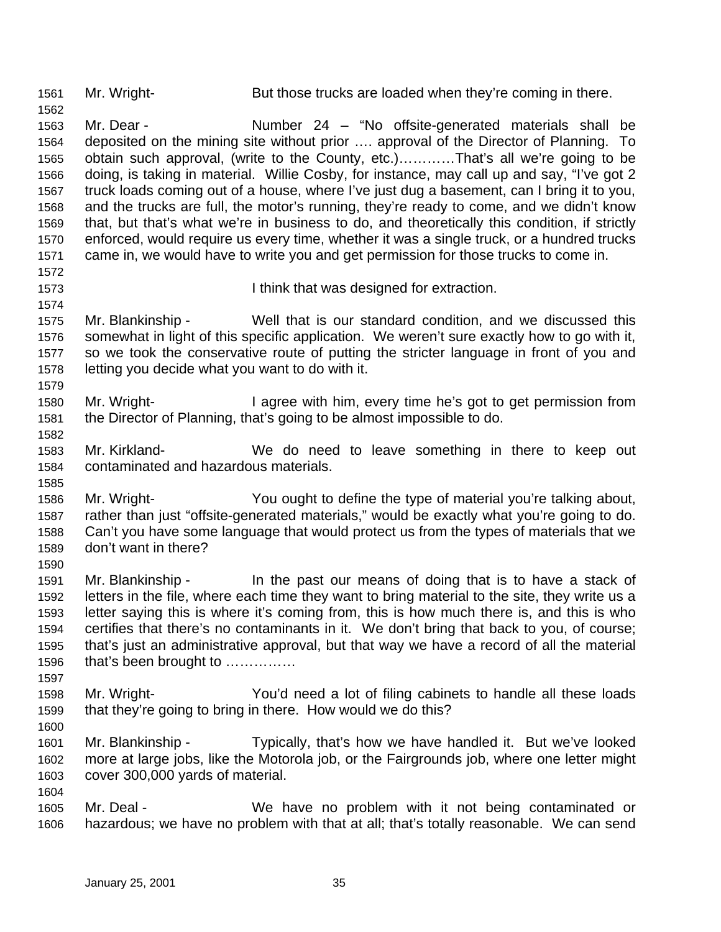1561 Mr. Wright- But those trucks are loaded when they're coming in there.

 Mr. Dear - Number 24 – "No offsite-generated materials shall be deposited on the mining site without prior …. approval of the Director of Planning. To obtain such approval, (write to the County, etc.)…………That's all we're going to be doing, is taking in material. Willie Cosby, for instance, may call up and say, "I've got 2 truck loads coming out of a house, where I've just dug a basement, can I bring it to you, and the trucks are full, the motor's running, they're ready to come, and we didn't know that, but that's what we're in business to do, and theoretically this condition, if strictly enforced, would require us every time, whether it was a single truck, or a hundred trucks came in, we would have to write you and get permission for those trucks to come in.

- I think that was designed for extraction.
- Mr. Blankinship Well that is our standard condition, and we discussed this somewhat in light of this specific application. We weren't sure exactly how to go with it, so we took the conservative route of putting the stricter language in front of you and letting you decide what you want to do with it.
- Mr. Wright- I agree with him, every time he's got to get permission from the Director of Planning, that's going to be almost impossible to do.
- Mr. Kirkland- We do need to leave something in there to keep out contaminated and hazardous materials.
- Mr. Wright- You ought to define the type of material you're talking about, rather than just "offsite-generated materials," would be exactly what you're going to do. Can't you have some language that would protect us from the types of materials that we don't want in there?
- Mr. Blankinship In the past our means of doing that is to have a stack of letters in the file, where each time they want to bring material to the site, they write us a letter saying this is where it's coming from, this is how much there is, and this is who certifies that there's no contaminants in it. We don't bring that back to you, of course; that's just an administrative approval, but that way we have a record of all the material that's been brought to ……………
- Mr. Wright- You'd need a lot of filing cabinets to handle all these loads that they're going to bring in there. How would we do this?
- Mr. Blankinship Typically, that's how we have handled it. But we've looked more at large jobs, like the Motorola job, or the Fairgrounds job, where one letter might cover 300,000 yards of material.
- Mr. Deal We have no problem with it not being contaminated or hazardous; we have no problem with that at all; that's totally reasonable. We can send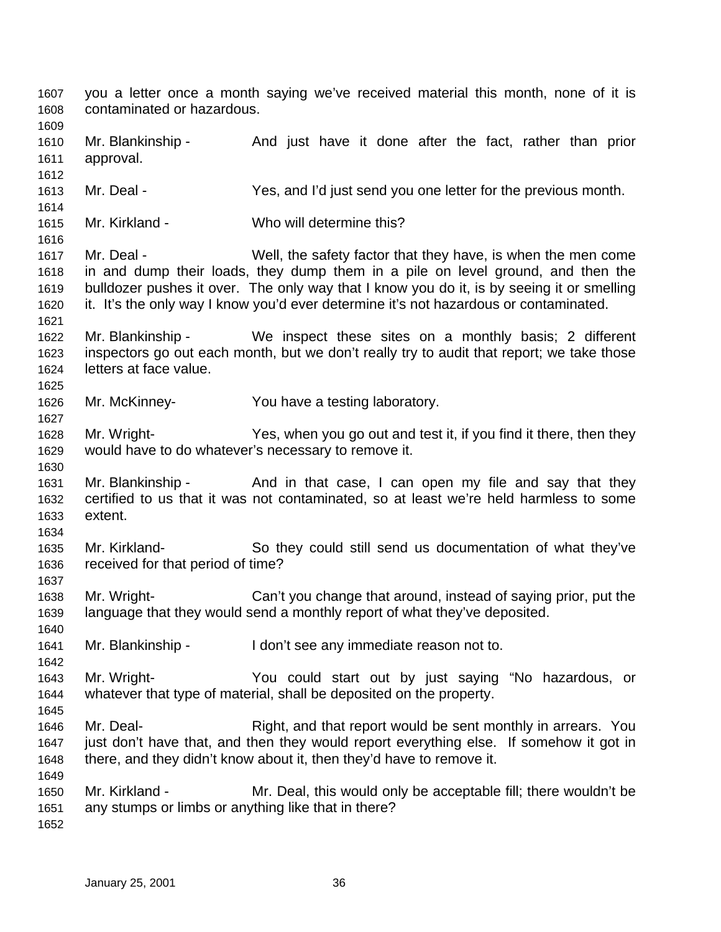you a letter once a month saying we've received material this month, none of it is contaminated or hazardous. 1610 Mr. Blankinship - And just have it done after the fact, rather than prior approval. Mr. Deal - Yes, and I'd just send you one letter for the previous month. Mr. Kirkland - Who will determine this? Mr. Deal - Well, the safety factor that they have, is when the men come in and dump their loads, they dump them in a pile on level ground, and then the bulldozer pushes it over. The only way that I know you do it, is by seeing it or smelling it. It's the only way I know you'd ever determine it's not hazardous or contaminated. Mr. Blankinship - We inspect these sites on a monthly basis; 2 different inspectors go out each month, but we don't really try to audit that report; we take those letters at face value. Mr. McKinney- You have a testing laboratory. Mr. Wright- Yes, when you go out and test it, if you find it there, then they would have to do whatever's necessary to remove it. 1631 Mr. Blankinship - And in that case, I can open my file and say that they certified to us that it was not contaminated, so at least we're held harmless to some extent. Mr. Kirkland- So they could still send us documentation of what they've received for that period of time? Mr. Wright- Can't you change that around, instead of saying prior, put the language that they would send a monthly report of what they've deposited. Mr. Blankinship - I don't see any immediate reason not to. Mr. Wright- You could start out by just saying "No hazardous, or whatever that type of material, shall be deposited on the property. 1646 Mr. Deal- **Right, and that report would be sent monthly in arrears.** You just don't have that, and then they would report everything else. If somehow it got in there, and they didn't know about it, then they'd have to remove it. Mr. Kirkland - Mr. Deal, this would only be acceptable fill; there wouldn't be any stumps or limbs or anything like that in there?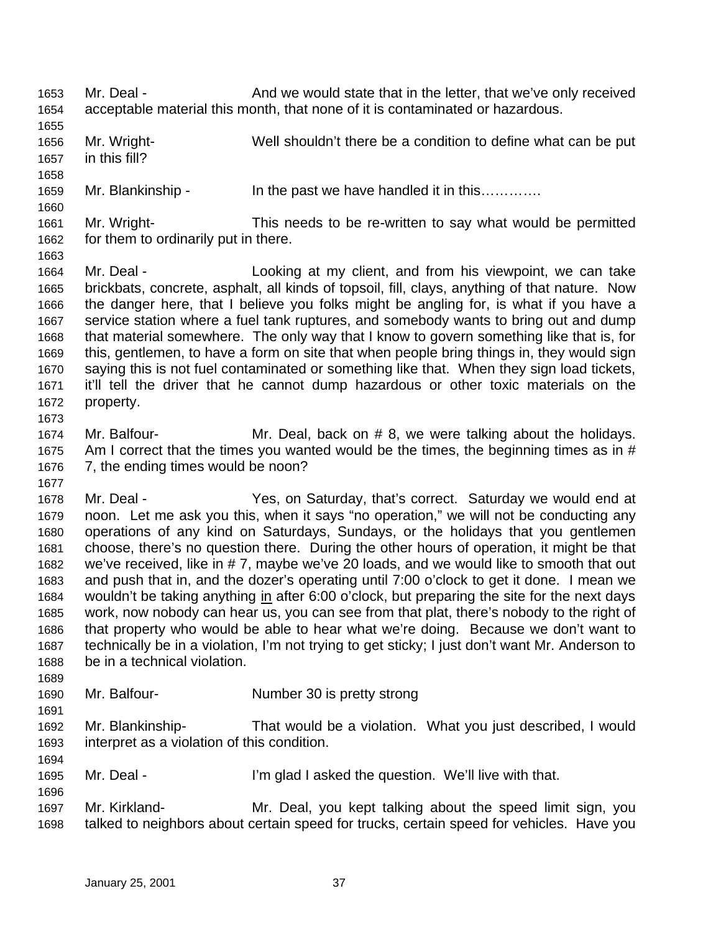Mr. Deal - And we would state that in the letter, that we've only received acceptable material this month, that none of it is contaminated or hazardous. Mr. Wright- Well shouldn't there be a condition to define what can be put in this fill? Mr. Blankinship - In the past we have handled it in this…………. Mr. Wright- This needs to be re-written to say what would be permitted for them to ordinarily put in there. Mr. Deal - Looking at my client, and from his viewpoint, we can take brickbats, concrete, asphalt, all kinds of topsoil, fill, clays, anything of that nature. Now the danger here, that I believe you folks might be angling for, is what if you have a service station where a fuel tank ruptures, and somebody wants to bring out and dump that material somewhere. The only way that I know to govern something like that is, for this, gentlemen, to have a form on site that when people bring things in, they would sign saying this is not fuel contaminated or something like that. When they sign load tickets, it'll tell the driver that he cannot dump hazardous or other toxic materials on the property. Mr. Balfour- Mr. Deal, back on # 8, we were talking about the holidays. 1675 Am I correct that the times you wanted would be the times, the beginning times as in # 7, the ending times would be noon? Mr. Deal - Yes, on Saturday, that's correct. Saturday we would end at noon. Let me ask you this, when it says "no operation," we will not be conducting any operations of any kind on Saturdays, Sundays, or the holidays that you gentlemen choose, there's no question there. During the other hours of operation, it might be that we've received, like in # 7, maybe we've 20 loads, and we would like to smooth that out and push that in, and the dozer's operating until 7:00 o'clock to get it done. I mean we wouldn't be taking anything in after 6:00 o'clock, but preparing the site for the next days work, now nobody can hear us, you can see from that plat, there's nobody to the right of that property who would be able to hear what we're doing. Because we don't want to technically be in a violation, I'm not trying to get sticky; I just don't want Mr. Anderson to be in a technical violation. Mr. Balfour- Number 30 is pretty strong Mr. Blankinship- That would be a violation. What you just described, I would interpret as a violation of this condition. 1695 Mr. Deal - I'm glad I asked the question. We'll live with that. Mr. Kirkland- Mr. Deal, you kept talking about the speed limit sign, you talked to neighbors about certain speed for trucks, certain speed for vehicles. Have you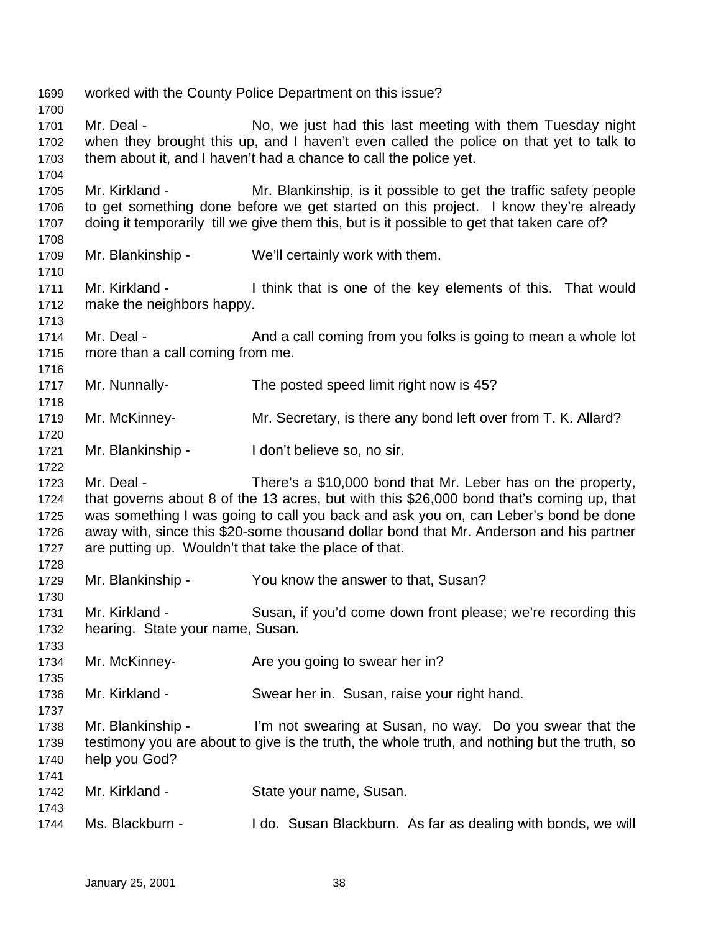worked with the County Police Department on this issue? 1701 Mr. Deal - No, we just had this last meeting with them Tuesday night when they brought this up, and I haven't even called the police on that yet to talk to them about it, and I haven't had a chance to call the police yet. Mr. Kirkland - Mr. Blankinship, is it possible to get the traffic safety people to get something done before we get started on this project. I know they're already doing it temporarily till we give them this, but is it possible to get that taken care of? Mr. Blankinship - We'll certainly work with them. Mr. Kirkland - I think that is one of the key elements of this. That would make the neighbors happy. 1714 Mr. Deal - And a call coming from you folks is going to mean a whole lot more than a call coming from me. Mr. Nunnally- The posted speed limit right now is 45? Mr. McKinney- Mr. Secretary, is there any bond left over from T. K. Allard? Mr. Blankinship - I don't believe so, no sir. Mr. Deal - There's a \$10,000 bond that Mr. Leber has on the property, that governs about 8 of the 13 acres, but with this \$26,000 bond that's coming up, that was something I was going to call you back and ask you on, can Leber's bond be done away with, since this \$20-some thousand dollar bond that Mr. Anderson and his partner are putting up. Wouldn't that take the place of that. Mr. Blankinship - You know the answer to that, Susan? Mr. Kirkland - Susan, if you'd come down front please; we're recording this hearing. State your name, Susan. Mr. McKinney- Are you going to swear her in? Mr. Kirkland - Swear her in. Susan, raise your right hand. Mr. Blankinship - I'm not swearing at Susan, no way. Do you swear that the testimony you are about to give is the truth, the whole truth, and nothing but the truth, so help you God? Mr. Kirkland - State your name, Susan. Ms. Blackburn - I do. Susan Blackburn. As far as dealing with bonds, we will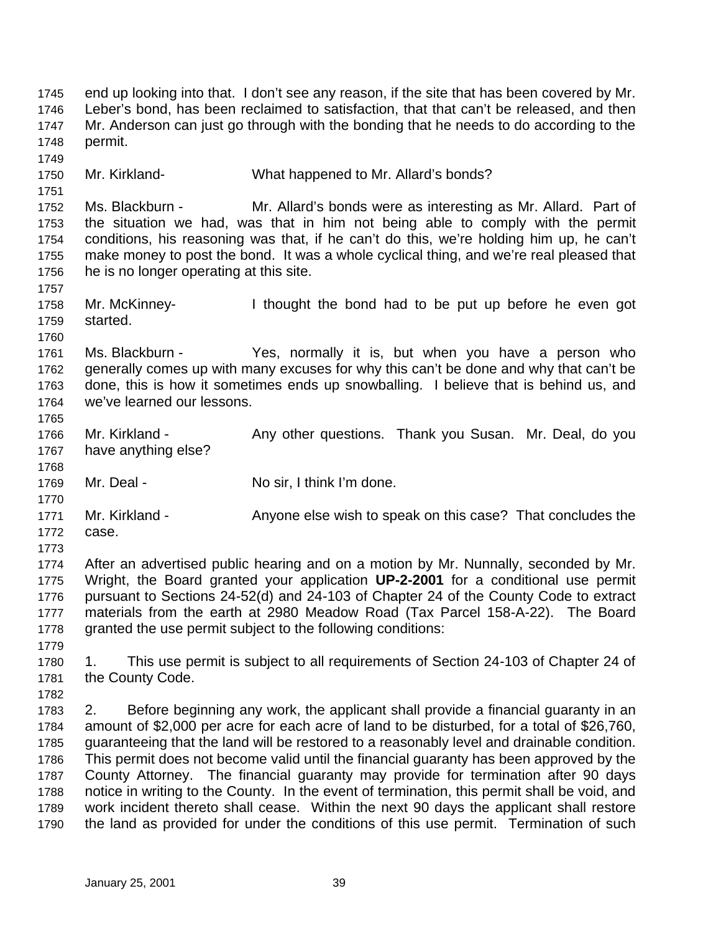end up looking into that. I don't see any reason, if the site that has been covered by Mr. Leber's bond, has been reclaimed to satisfaction, that that can't be released, and then Mr. Anderson can just go through with the bonding that he needs to do according to the permit. Mr. Kirkland- What happened to Mr. Allard's bonds? Ms. Blackburn - Mr. Allard's bonds were as interesting as Mr. Allard. Part of the situation we had, was that in him not being able to comply with the permit conditions, his reasoning was that, if he can't do this, we're holding him up, he can't make money to post the bond. It was a whole cyclical thing, and we're real pleased that he is no longer operating at this site. Mr. McKinney- I thought the bond had to be put up before he even got started. Ms. Blackburn - Yes, normally it is, but when you have a person who generally comes up with many excuses for why this can't be done and why that can't be done, this is how it sometimes ends up snowballing. I believe that is behind us, and we've learned our lessons. 1766 Mr. Kirkland - Any other questions. Thank you Susan. Mr. Deal, do you have anything else? 1769 Mr. Deal - No sir, I think I'm done. 1771 Mr. Kirkland - Anyone else wish to speak on this case? That concludes the case. After an advertised public hearing and on a motion by Mr. Nunnally, seconded by Mr. Wright, the Board granted your application **UP-2-2001** for a conditional use permit pursuant to Sections 24-52(d) and 24-103 of Chapter 24 of the County Code to extract materials from the earth at 2980 Meadow Road (Tax Parcel 158-A-22). The Board 1778 granted the use permit subject to the following conditions: 1. This use permit is subject to all requirements of Section 24-103 of Chapter 24 of 1781 the County Code. 2. Before beginning any work, the applicant shall provide a financial guaranty in an amount of \$2,000 per acre for each acre of land to be disturbed, for a total of \$26,760, guaranteeing that the land will be restored to a reasonably level and drainable condition. This permit does not become valid until the financial guaranty has been approved by the County Attorney. The financial guaranty may provide for termination after 90 days notice in writing to the County. In the event of termination, this permit shall be void, and work incident thereto shall cease. Within the next 90 days the applicant shall restore the land as provided for under the conditions of this use permit. Termination of such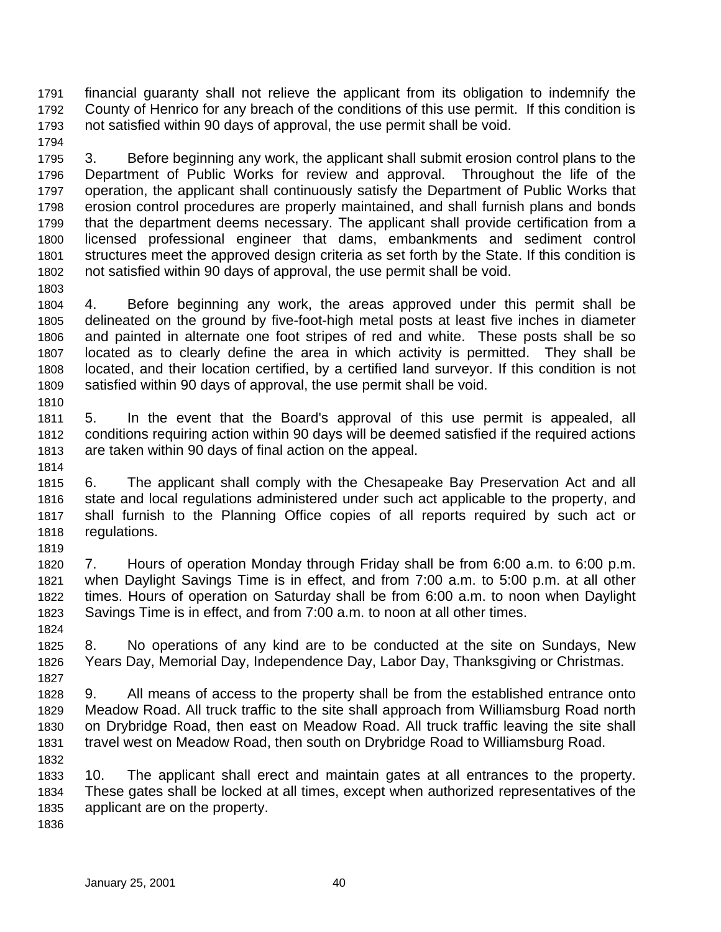financial guaranty shall not relieve the applicant from its obligation to indemnify the County of Henrico for any breach of the conditions of this use permit. If this condition is not satisfied within 90 days of approval, the use permit shall be void.

 3. Before beginning any work, the applicant shall submit erosion control plans to the Department of Public Works for review and approval. Throughout the life of the operation, the applicant shall continuously satisfy the Department of Public Works that erosion control procedures are properly maintained, and shall furnish plans and bonds that the department deems necessary. The applicant shall provide certification from a licensed professional engineer that dams, embankments and sediment control structures meet the approved design criteria as set forth by the State. If this condition is not satisfied within 90 days of approval, the use permit shall be void.

 4. Before beginning any work, the areas approved under this permit shall be delineated on the ground by five-foot-high metal posts at least five inches in diameter and painted in alternate one foot stripes of red and white. These posts shall be so located as to clearly define the area in which activity is permitted. They shall be located, and their location certified, by a certified land surveyor. If this condition is not satisfied within 90 days of approval, the use permit shall be void. 

 5. In the event that the Board's approval of this use permit is appealed, all conditions requiring action within 90 days will be deemed satisfied if the required actions are taken within 90 days of final action on the appeal.

 6. The applicant shall comply with the Chesapeake Bay Preservation Act and all state and local regulations administered under such act applicable to the property, and shall furnish to the Planning Office copies of all reports required by such act or regulations.

 7. Hours of operation Monday through Friday shall be from 6:00 a.m. to 6:00 p.m. when Daylight Savings Time is in effect, and from 7:00 a.m. to 5:00 p.m. at all other times. Hours of operation on Saturday shall be from 6:00 a.m. to noon when Daylight Savings Time is in effect, and from 7:00 a.m. to noon at all other times.

 8. No operations of any kind are to be conducted at the site on Sundays, New Years Day, Memorial Day, Independence Day, Labor Day, Thanksgiving or Christmas.

 9. All means of access to the property shall be from the established entrance onto Meadow Road. All truck traffic to the site shall approach from Williamsburg Road north on Drybridge Road, then east on Meadow Road. All truck traffic leaving the site shall travel west on Meadow Road, then south on Drybridge Road to Williamsburg Road. 

 10. The applicant shall erect and maintain gates at all entrances to the property. These gates shall be locked at all times, except when authorized representatives of the applicant are on the property.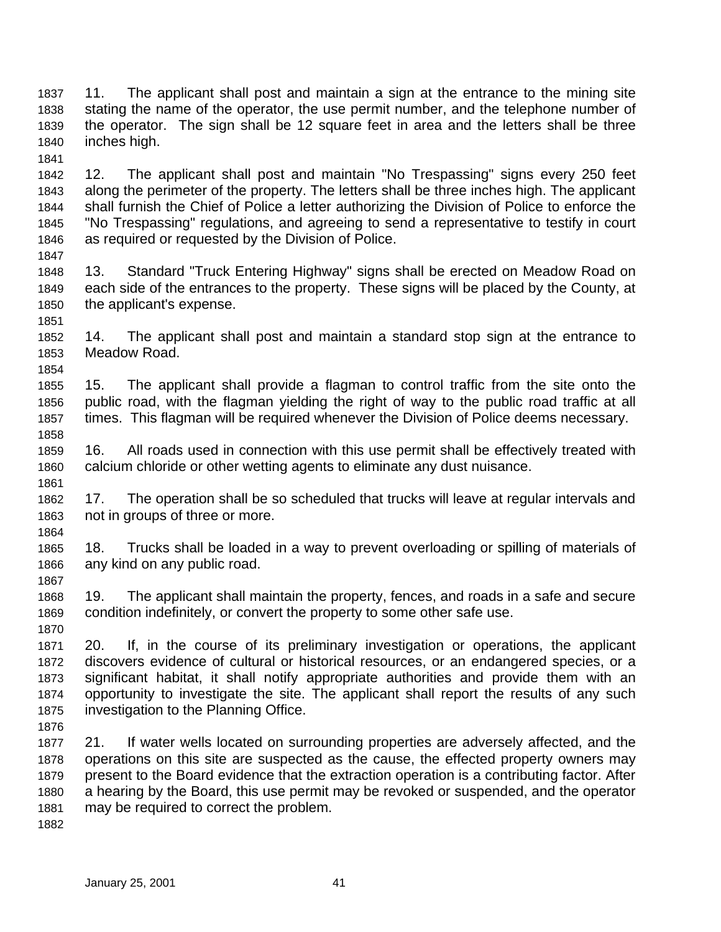11. The applicant shall post and maintain a sign at the entrance to the mining site stating the name of the operator, the use permit number, and the telephone number of the operator. The sign shall be 12 square feet in area and the letters shall be three inches high. 

 12. The applicant shall post and maintain "No Trespassing" signs every 250 feet along the perimeter of the property. The letters shall be three inches high. The applicant shall furnish the Chief of Police a letter authorizing the Division of Police to enforce the "No Trespassing" regulations, and agreeing to send a representative to testify in court as required or requested by the Division of Police.

- 13. Standard "Truck Entering Highway" signs shall be erected on Meadow Road on each side of the entrances to the property. These signs will be placed by the County, at the applicant's expense.
- 14. The applicant shall post and maintain a standard stop sign at the entrance to Meadow Road.

 15. The applicant shall provide a flagman to control traffic from the site onto the public road, with the flagman yielding the right of way to the public road traffic at all times. This flagman will be required whenever the Division of Police deems necessary. 

 16. All roads used in connection with this use permit shall be effectively treated with calcium chloride or other wetting agents to eliminate any dust nuisance.

 17. The operation shall be so scheduled that trucks will leave at regular intervals and not in groups of three or more. 

 18. Trucks shall be loaded in a way to prevent overloading or spilling of materials of any kind on any public road.

 19. The applicant shall maintain the property, fences, and roads in a safe and secure condition indefinitely, or convert the property to some other safe use. 

 20. If, in the course of its preliminary investigation or operations, the applicant discovers evidence of cultural or historical resources, or an endangered species, or a significant habitat, it shall notify appropriate authorities and provide them with an opportunity to investigate the site. The applicant shall report the results of any such investigation to the Planning Office. 

 21. If water wells located on surrounding properties are adversely affected, and the operations on this site are suspected as the cause, the effected property owners may present to the Board evidence that the extraction operation is a contributing factor. After a hearing by the Board, this use permit may be revoked or suspended, and the operator may be required to correct the problem.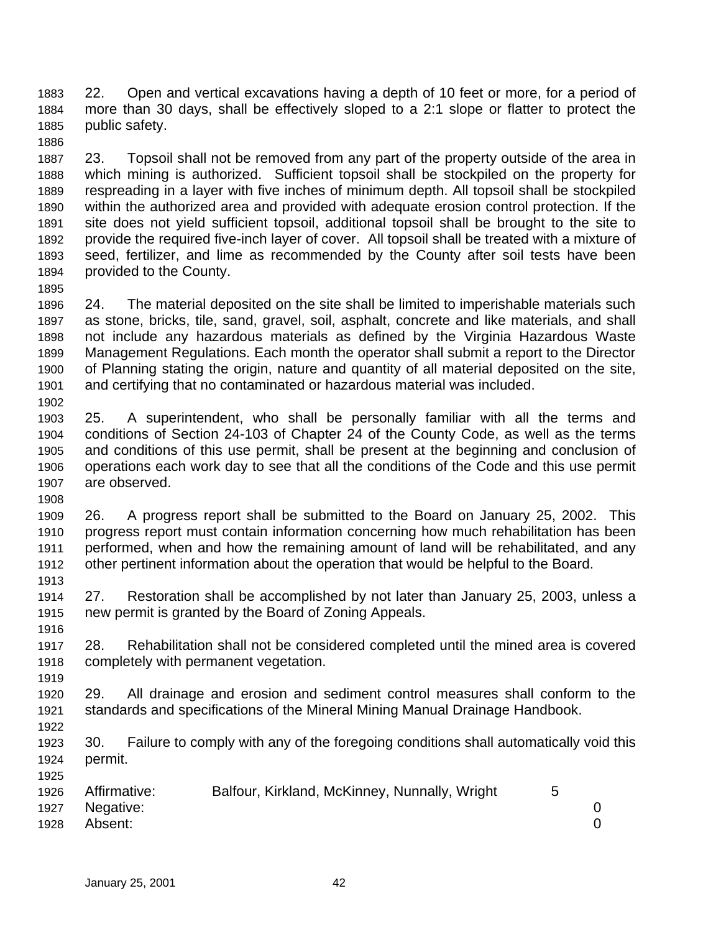22. Open and vertical excavations having a depth of 10 feet or more, for a period of more than 30 days, shall be effectively sloped to a 2:1 slope or flatter to protect the public safety.

 23. Topsoil shall not be removed from any part of the property outside of the area in which mining is authorized. Sufficient topsoil shall be stockpiled on the property for respreading in a layer with five inches of minimum depth. All topsoil shall be stockpiled within the authorized area and provided with adequate erosion control protection. If the site does not yield sufficient topsoil, additional topsoil shall be brought to the site to provide the required five-inch layer of cover. All topsoil shall be treated with a mixture of seed, fertilizer, and lime as recommended by the County after soil tests have been provided to the County.

 24. The material deposited on the site shall be limited to imperishable materials such as stone, bricks, tile, sand, gravel, soil, asphalt, concrete and like materials, and shall not include any hazardous materials as defined by the Virginia Hazardous Waste Management Regulations. Each month the operator shall submit a report to the Director of Planning stating the origin, nature and quantity of all material deposited on the site, and certifying that no contaminated or hazardous material was included. 

 25. A superintendent, who shall be personally familiar with all the terms and conditions of Section 24-103 of Chapter 24 of the County Code, as well as the terms and conditions of this use permit, shall be present at the beginning and conclusion of operations each work day to see that all the conditions of the Code and this use permit are observed.

 26. A progress report shall be submitted to the Board on January 25, 2002. This progress report must contain information concerning how much rehabilitation has been performed, when and how the remaining amount of land will be rehabilitated, and any other pertinent information about the operation that would be helpful to the Board.

 27. Restoration shall be accomplished by not later than January 25, 2003, unless a new permit is granted by the Board of Zoning Appeals.

 28. Rehabilitation shall not be considered completed until the mined area is covered completely with permanent vegetation.

 29. All drainage and erosion and sediment control measures shall conform to the standards and specifications of the Mineral Mining Manual Drainage Handbook. 

 30. Failure to comply with any of the foregoing conditions shall automatically void this permit.

| 1926 | Affirmative:   | Balfour, Kirkland, McKinney, Nunnally, Wright |  |
|------|----------------|-----------------------------------------------|--|
|      | 1927 Negative: |                                               |  |
| 1928 | Absent:        |                                               |  |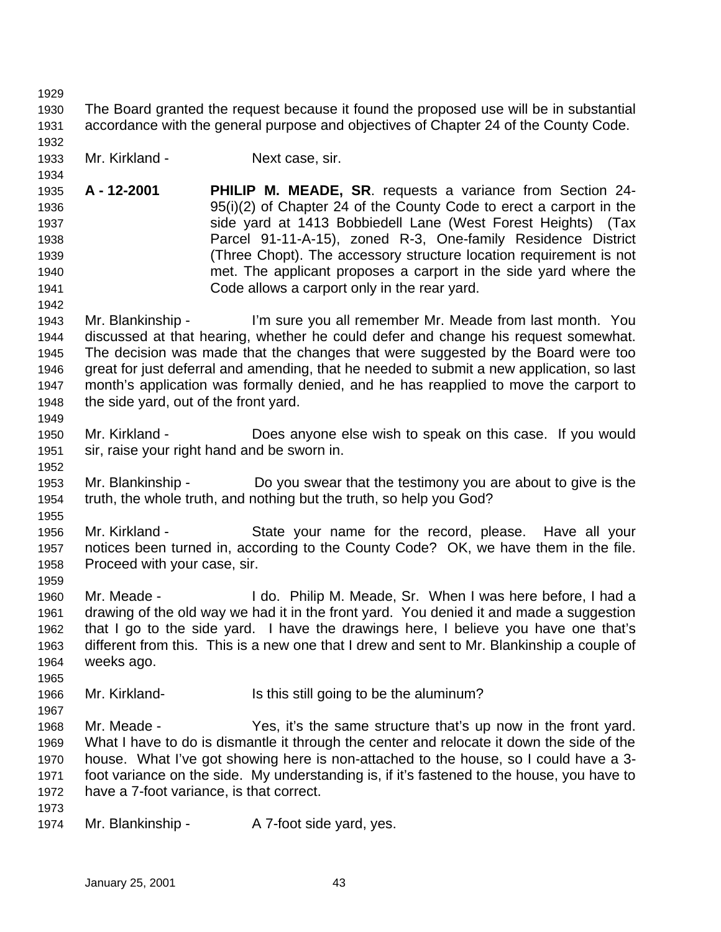The Board granted the request because it found the proposed use will be in substantial accordance with the general purpose and objectives of Chapter 24 of the County Code. 

Mr. Kirkland - Next case, sir.

- **A 12-2001 PHILIP M. MEADE, SR**. requests a variance from Section 24- 95(i)(2) of Chapter 24 of the County Code to erect a carport in the side yard at 1413 Bobbiedell Lane (West Forest Heights) (Tax Parcel 91-11-A-15), zoned R-3, One-family Residence District (Three Chopt). The accessory structure location requirement is not met. The applicant proposes a carport in the side yard where the Code allows a carport only in the rear yard.
- Mr. Blankinship I'm sure you all remember Mr. Meade from last month. You discussed at that hearing, whether he could defer and change his request somewhat. The decision was made that the changes that were suggested by the Board were too great for just deferral and amending, that he needed to submit a new application, so last month's application was formally denied, and he has reapplied to move the carport to the side yard, out of the front yard.
- Mr. Kirkland Does anyone else wish to speak on this case. If you would sir, raise your right hand and be sworn in.
- Mr. Blankinship Do you swear that the testimony you are about to give is the truth, the whole truth, and nothing but the truth, so help you God?
- Mr. Kirkland State your name for the record, please. Have all your notices been turned in, according to the County Code? OK, we have them in the file. Proceed with your case, sir.
- Mr. Meade I do. Philip M. Meade, Sr. When I was here before, I had a drawing of the old way we had it in the front yard. You denied it and made a suggestion that I go to the side yard. I have the drawings here, I believe you have one that's different from this. This is a new one that I drew and sent to Mr. Blankinship a couple of weeks ago.
- Mr. Kirkland- Is this still going to be the aluminum?
- Mr. Meade Yes, it's the same structure that's up now in the front yard. What I have to do is dismantle it through the center and relocate it down the side of the house. What I've got showing here is non-attached to the house, so I could have a 3- foot variance on the side. My understanding is, if it's fastened to the house, you have to have a 7-foot variance, is that correct.
- 

1974 Mr. Blankinship - A 7-foot side yard, yes.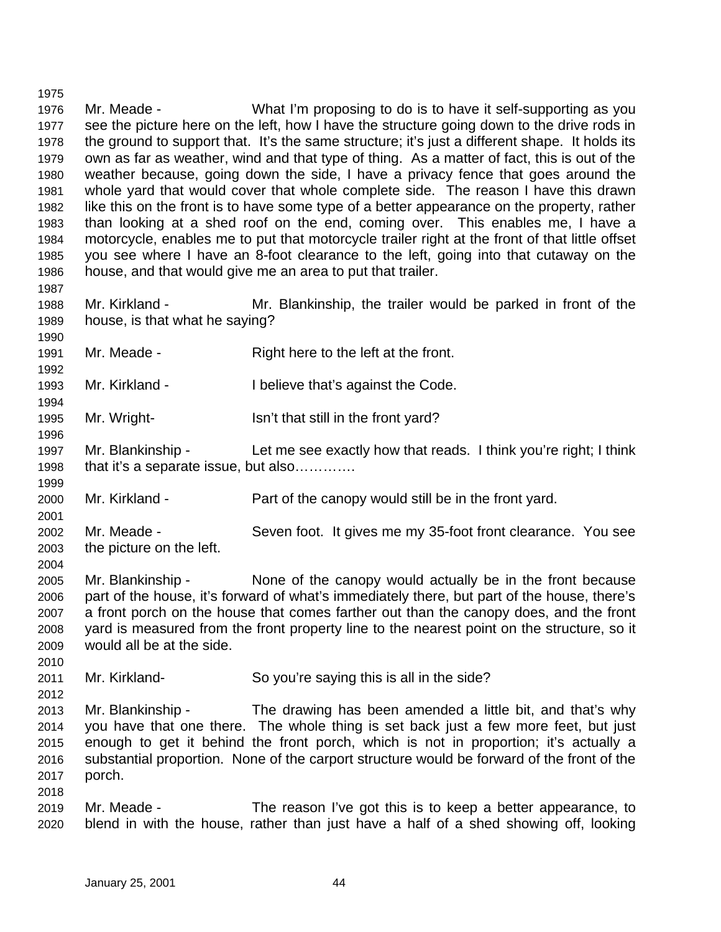Mr. Meade - What I'm proposing to do is to have it self-supporting as you see the picture here on the left, how I have the structure going down to the drive rods in the ground to support that. It's the same structure; it's just a different shape. It holds its own as far as weather, wind and that type of thing. As a matter of fact, this is out of the weather because, going down the side, I have a privacy fence that goes around the whole yard that would cover that whole complete side. The reason I have this drawn like this on the front is to have some type of a better appearance on the property, rather than looking at a shed roof on the end, coming over. This enables me, I have a motorcycle, enables me to put that motorcycle trailer right at the front of that little offset you see where I have an 8-foot clearance to the left, going into that cutaway on the house, and that would give me an area to put that trailer. 

 Mr. Kirkland - Mr. Blankinship, the trailer would be parked in front of the house, is that what he saying?

- Mr. Meade Right here to the left at the front.
- Mr. Kirkland I believe that's against the Code.
- 1995 Mr. Wright- Isn't that still in the front yard?
- Mr. Blankinship Let me see exactly how that reads. I think you're right; I think 1998 that it's a separate issue, but also………….
- Mr. Kirkland Part of the canopy would still be in the front yard.
- Mr. Meade Seven foot. It gives me my 35-foot front clearance. You see the picture on the left.
- Mr. Blankinship None of the canopy would actually be in the front because part of the house, it's forward of what's immediately there, but part of the house, there's a front porch on the house that comes farther out than the canopy does, and the front yard is measured from the front property line to the nearest point on the structure, so it would all be at the side.
- Mr. Kirkland- So you're saying this is all in the side?
- Mr. Blankinship The drawing has been amended a little bit, and that's why you have that one there. The whole thing is set back just a few more feet, but just enough to get it behind the front porch, which is not in proportion; it's actually a substantial proportion. None of the carport structure would be forward of the front of the porch.
- Mr. Meade The reason I've got this is to keep a better appearance, to blend in with the house, rather than just have a half of a shed showing off, looking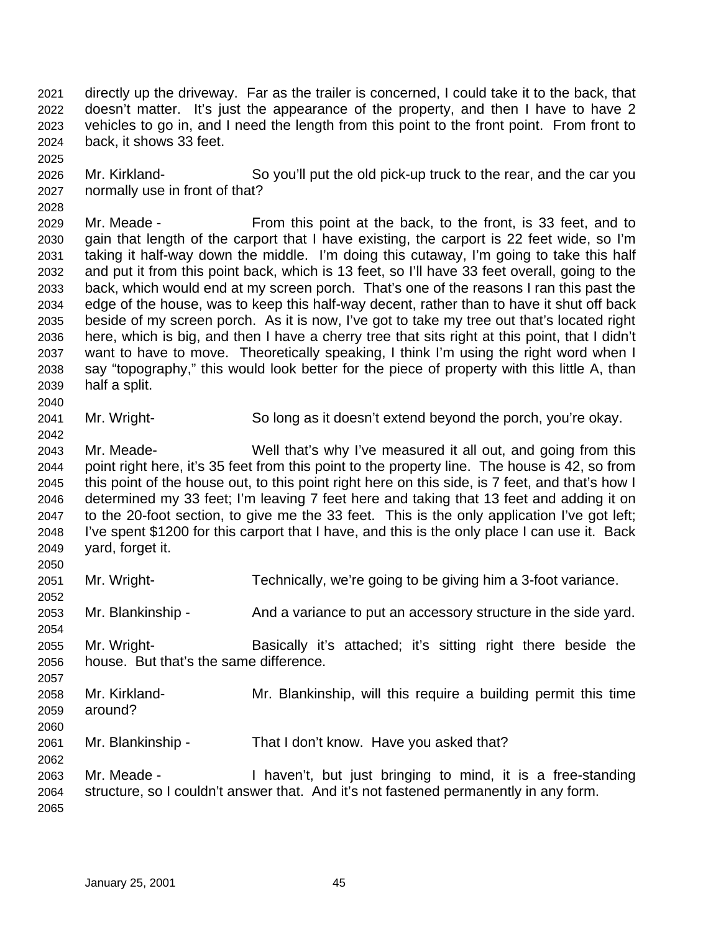directly up the driveway. Far as the trailer is concerned, I could take it to the back, that doesn't matter. It's just the appearance of the property, and then I have to have 2 vehicles to go in, and I need the length from this point to the front point. From front to back, it shows 33 feet.

 Mr. Kirkland- So you'll put the old pick-up truck to the rear, and the car you normally use in front of that?

 Mr. Meade - From this point at the back, to the front, is 33 feet, and to gain that length of the carport that I have existing, the carport is 22 feet wide, so I'm taking it half-way down the middle. I'm doing this cutaway, I'm going to take this half and put it from this point back, which is 13 feet, so I'll have 33 feet overall, going to the back, which would end at my screen porch. That's one of the reasons I ran this past the edge of the house, was to keep this half-way decent, rather than to have it shut off back beside of my screen porch. As it is now, I've got to take my tree out that's located right here, which is big, and then I have a cherry tree that sits right at this point, that I didn't want to have to move. Theoretically speaking, I think I'm using the right word when I say "topography," this would look better for the piece of property with this little A, than half a split. 

Mr. Wright- So long as it doesn't extend beyond the porch, you're okay.

 Mr. Meade- Well that's why I've measured it all out, and going from this point right here, it's 35 feet from this point to the property line. The house is 42, so from this point of the house out, to this point right here on this side, is 7 feet, and that's how I determined my 33 feet; I'm leaving 7 feet here and taking that 13 feet and adding it on to the 20-foot section, to give me the 33 feet. This is the only application I've got left; I've spent \$1200 for this carport that I have, and this is the only place I can use it. Back yard, forget it. 

Mr. Wright- Technically, we're going to be giving him a 3-foot variance.

2053 Mr. Blankinship - And a variance to put an accessory structure in the side yard.

 Mr. Wright- Basically it's attached; it's sitting right there beside the house. But that's the same difference.

 Mr. Kirkland- Mr. Blankinship, will this require a building permit this time around? 

Mr. Blankinship - That I don't know. Have you asked that?

 Mr. Meade - I haven't, but just bringing to mind, it is a free-standing structure, so I couldn't answer that. And it's not fastened permanently in any form.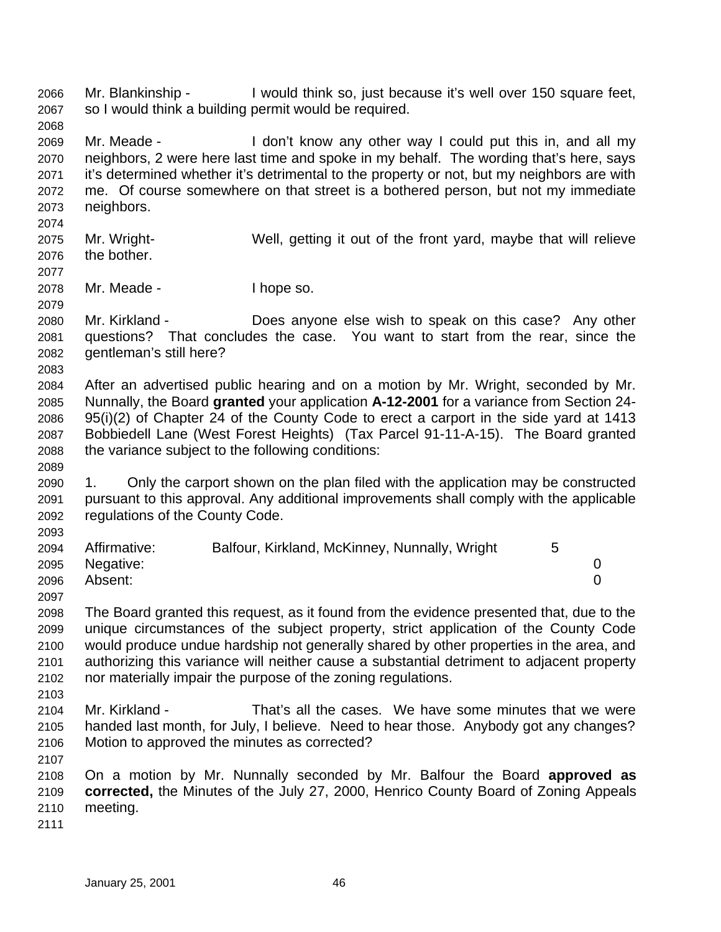Mr. Blankinship - I would think so, just because it's well over 150 square feet, so I would think a building permit would be required.

 Mr. Meade - I don't know any other way I could put this in, and all my neighbors, 2 were here last time and spoke in my behalf. The wording that's here, says it's determined whether it's detrimental to the property or not, but my neighbors are with me. Of course somewhere on that street is a bothered person, but not my immediate neighbors.

- Mr. Wright- Well, getting it out of the front yard, maybe that will relieve the bother.
- 

Mr. Meade - I hope so.

- Mr. Kirkland Does anyone else wish to speak on this case? Any other questions? That concludes the case. You want to start from the rear, since the gentleman's still here?
- 

- After an advertised public hearing and on a motion by Mr. Wright, seconded by Mr. Nunnally, the Board **granted** your application **A-12-2001** for a variance from Section 24- 95(i)(2) of Chapter 24 of the County Code to erect a carport in the side yard at 1413 Bobbiedell Lane (West Forest Heights) (Tax Parcel 91-11-A-15). The Board granted the variance subject to the following conditions:
- 1. Only the carport shown on the plan filed with the application may be constructed pursuant to this approval. Any additional improvements shall comply with the applicable regulations of the County Code.

| 2094 | Affirmative:   | Balfour, Kirkland, McKinney, Nunnally, Wright |  |
|------|----------------|-----------------------------------------------|--|
|      | 2095 Negative: |                                               |  |
| 2096 | Absent:        |                                               |  |
| 2097 |                |                                               |  |

- The Board granted this request, as it found from the evidence presented that, due to the unique circumstances of the subject property, strict application of the County Code would produce undue hardship not generally shared by other properties in the area, and authorizing this variance will neither cause a substantial detriment to adjacent property nor materially impair the purpose of the zoning regulations.
- Mr. Kirkland That's all the cases. We have some minutes that we were handed last month, for July, I believe. Need to hear those. Anybody got any changes? Motion to approved the minutes as corrected?
- 

 On a motion by Mr. Nunnally seconded by Mr. Balfour the Board **approved as corrected,** the Minutes of the July 27, 2000, Henrico County Board of Zoning Appeals meeting.